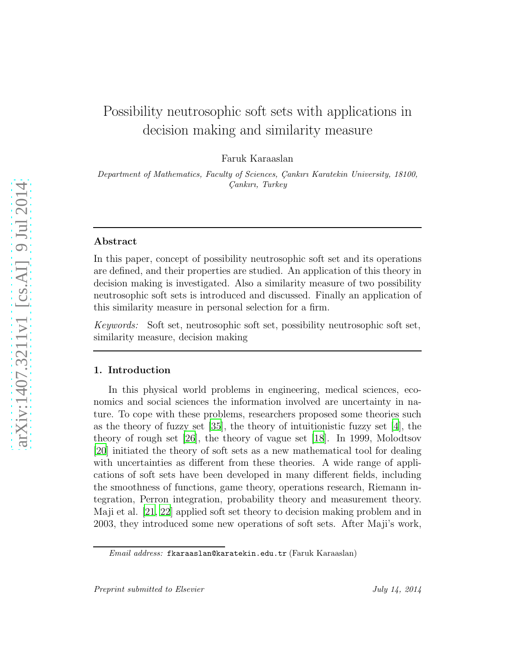# Possibility neutrosophic soft sets with applications in decision making and similarity measure

Faruk Karaaslan

Department of Mathematics, Faculty of Sciences, Çankırı Karatekin University, 18100, Çankırı, Turkey

#### Abstract

In this paper, concept of possibility neutrosophic soft set and its operations are defined, and their properties are studied. An application of this theory in decision making is investigated. Also a similarity measure of two possibility neutrosophic soft sets is introduced and discussed. Finally an application of this similarity measure in personal selection for a firm.

*Keywords:* Soft set, neutrosophic soft set, possibility neutrosophic soft set, similarity measure, decision making

#### 1. Introduction

In this physical world problems in engineering, medical sciences, economics and social sciences the information involved are uncertainty in nature. To cope with these problems, researchers proposed some theories such as the theory of fuzzy set  $[35]$ , the theory of intuitionistic fuzzy set  $[4]$ , the theory of rough set [\[26](#page-24-1)], the theory of vague set [\[18](#page-23-0)]. In 1999, Molodtsov [\[20\]](#page-23-1) initiated the theory of soft sets as a new mathematical tool for dealing with uncertainties as different from these theories. A wide range of applications of soft sets have been developed in many different fields, including the smoothness of functions, game theory, operations research, Riemann integration, Perron integration, probability theory and measurement theory. Maji et al. [\[21,](#page-23-2) [22\]](#page-23-3) applied soft set theory to decision making problem and in 2003, they introduced some new operations of soft sets. After Maji's work,

Email address: fkaraaslan@karatekin.edu.tr (Faruk Karaaslan)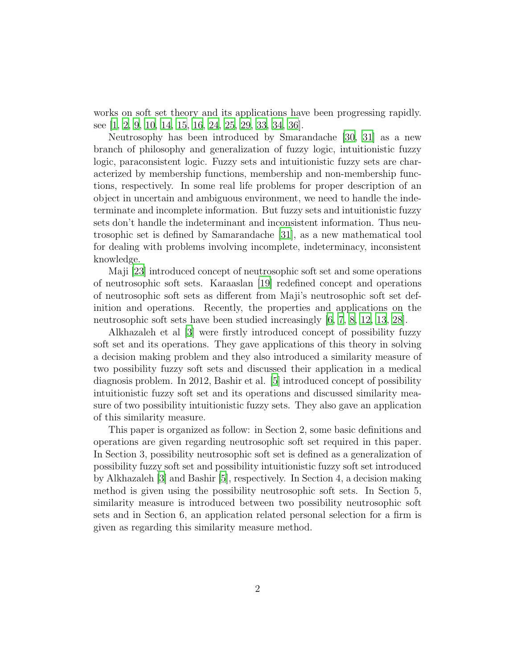works on soft set theory and its applications have been progressing rapidly. see [\[1,](#page-22-1) [2,](#page-22-2) [9,](#page-22-3) [10,](#page-22-4) [14,](#page-23-4) [15,](#page-23-5) [16](#page-23-6), [24](#page-24-2), [25](#page-24-3), [29,](#page-24-4) [33,](#page-24-5) [34,](#page-24-6) [36\]](#page-24-7).

Neutrosophy has been introduced by Smarandache [\[30](#page-24-8), [31](#page-24-9)] as a new branch of philosophy and generalization of fuzzy logic, intuitionistic fuzzy logic, paraconsistent logic. Fuzzy sets and intuitionistic fuzzy sets are characterized by membership functions, membership and non-membership functions, respectively. In some real life problems for proper description of an object in uncertain and ambiguous environment, we need to handle the indeterminate and incomplete information. But fuzzy sets and intuitionistic fuzzy sets don't handle the indeterminant and inconsistent information. Thus neutrosophic set is defined by Samarandache [\[31\]](#page-24-9), as a new mathematical tool for dealing with problems involving incomplete, indeterminacy, inconsistent knowledge.

Maji [\[23\]](#page-23-7) introduced concept of neutrosophic soft set and some operations of neutrosophic soft sets. Karaaslan [\[19\]](#page-23-8) redefined concept and operations of neutrosophic soft sets as different from Maji's neutrosophic soft set definition and operations. Recently, the properties and applications on the neutrosophic soft sets have been studied increasingly [\[6](#page-22-5), [7](#page-22-6), [8](#page-22-7), [12,](#page-23-9) [13,](#page-23-10) [28\]](#page-24-10).

Alkhazaleh et al [\[3\]](#page-22-8) were firstly introduced concept of possibility fuzzy soft set and its operations. They gave applications of this theory in solving a decision making problem and they also introduced a similarity measure of two possibility fuzzy soft sets and discussed their application in a medical diagnosis problem. In 2012, Bashir et al. [\[5](#page-22-9)] introduced concept of possibility intuitionistic fuzzy soft set and its operations and discussed similarity measure of two possibility intuitionistic fuzzy sets. They also gave an application of this similarity measure.

This paper is organized as follow: in Section 2, some basic definitions and operations are given regarding neutrosophic soft set required in this paper. In Section 3, possibility neutrosophic soft set is defined as a generalization of possibility fuzzy soft set and possibility intuitionistic fuzzy soft set introduced by Alkhazaleh [\[3\]](#page-22-8) and Bashir [\[5\]](#page-22-9), respectively. In Section 4, a decision making method is given using the possibility neutrosophic soft sets. In Section 5, similarity measure is introduced between two possibility neutrosophic soft sets and in Section 6, an application related personal selection for a firm is given as regarding this similarity measure method.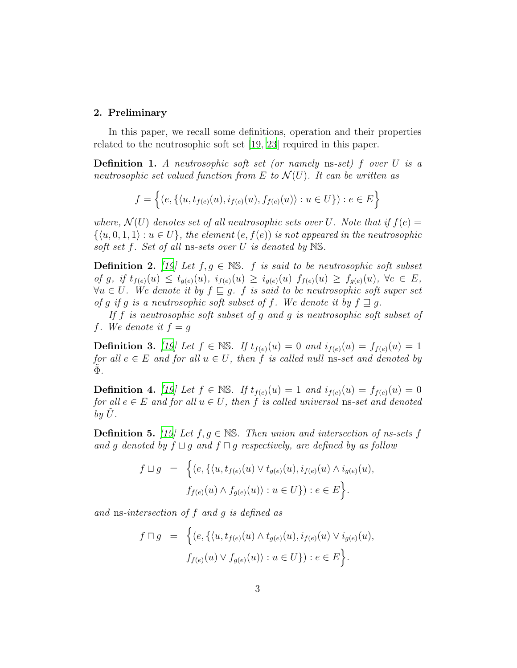#### 2. Preliminary

In this paper, we recall some definitions, operation and their properties related to the neutrosophic soft set [\[19](#page-23-8), [23\]](#page-23-7) required in this paper.

Definition 1. *A neutrosophic soft set (or namely* ns*-set)* f *over* U *is a neutrosophic set valued function from*  $E$  *to*  $\mathcal{N}(U)$ *. It can be written as* 

$$
f = \left\{ (e, \{ \langle u, t_{f(e)}(u), i_{f(e)}(u), f_{f(e)}(u) \rangle : u \in U \}) : e \in E \right\}
$$

*where,*  $\mathcal{N}(U)$  *denotes set of all neutrosophic sets over* U. Note that if  $f(e)$  $\{(u, 0, 1, 1) : u \in U\}$ , the element  $(e, f(e))$  is not appeared in the neutrosophic *soft set* f*. Set of all* ns*-sets over* U *is denoted by* NS*.*

**Definition 2.** [\[19\]](#page-23-8) Let  $f, g \in \mathbb{NS}$ . f is said to be neutrosophic soft subset  $of g, if t_{f(e)}(u) \leq t_{g(e)}(u), i_{f(e)}(u) \geq i_{g(e)}(u) f_{f(e)}(u) \geq f_{g(e)}(u), \forall e \in E$ ∀u ∈ U*. We denote it by* f ⊑ g*.* f *is said to be neutrosophic soft super set of* g if g is a neutrosophic soft subset of f. We denote it by  $f \supseteq g$ .

*If* f *is neutrosophic soft subset of* g *and* g *is neutrosophic soft subset of* f. We denote it  $f = g$ 

**Definition 3.** [\[19\]](#page-23-8) Let  $f \in \mathbb{NS}$ . If  $t_{f(e)}(u) = 0$  and  $i_{f(e)}(u) = f_{f(e)}(u) = 1$ *for all*  $e \in E$  *and for all*  $u \in U$ *, then f is called null* ns-set *and denoted by* Φ˜*.*

**Definition 4.** *[\[19\]](#page-23-8)* Let  $f \in \mathbb{NS}$ . If  $t_{f(e)}(u) = 1$  and  $i_{f(e)}(u) = f_{f(e)}(u) = 0$ *for all*  $e \in E$  *and for all*  $u \in U$ *, then f is called universal* ns-set *and denoted*  $b\mathbf{v}$   $U$ *.* 

**Definition 5.** *[\[19\]](#page-23-8)* Let  $f, g \in \mathbb{NS}$ . Then union and intersection of ns-sets f *and* g *denoted by* f ⊔ g *and* f ⊓ g *respectively, are defined by as follow*

$$
f \sqcup g = \Big\{ (e, \{ \langle u, t_{f(e)}(u) \vee t_{g(e)}(u), i_{f(e)}(u) \wedge i_{g(e)}(u), f_{f(e)}(u) \wedge f_{g(e)}(u) \rangle : u \in U \} ) : e \in E \Big\}.
$$

*and* ns*-intersection of* f *and* g *is defined as*

$$
f \sqcap g = \Big\{ (e, \{ \langle u, t_{f(e)}(u) \wedge t_{g(e)}(u), i_{f(e)}(u) \vee i_{g(e)}(u), f_{f(e)}(u) \vee f_{g(e)}(u) \rangle : u \in U \} ) : e \in E \Big\}.
$$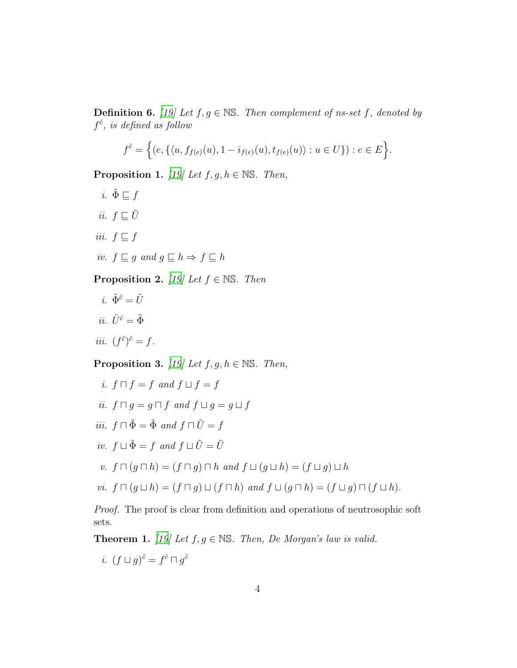**Definition 6.** [\[19\]](#page-23-8) Let  $f, g \in \mathbb{NS}$ . Then complement of ns-set f, denoted by  $f^{\tilde{c}}$ *, is defined as follow* 

$$
f^{\tilde{c}} = \Big\{ (e, \{ \langle u, f_{f(e)}(u), 1 - i_{f(e)}(u), t_{f(e)}(u) \rangle : u \in U \}) : e \in E \Big\}.
$$

**Proposition 1.** *[\[19\]](#page-23-8) Let*  $f, g, h \in \mathbb{NS}$ *. Then,* 

- *i.*  $\tilde{\Phi} \sqsubset f$ *ii.*  $f \sqsubset \tilde{U}$
- *iii.*  $f \subseteq f$
- *iv.*  $f \sqsubset q$  *and*  $q \sqsubset h \Rightarrow f \sqsubset h$

**Proposition 2.** *[\[19\]](#page-23-8) Let*  $f \in \mathbb{NS}$ *. Then* 

- *i.*  $\tilde{\Phi}^{\tilde{c}} = \tilde{U}$
- *ii.*  $\tilde{U}^{\tilde{c}} = \tilde{\Phi}$
- *iii.*  $(f^{\tilde{c}})^{\tilde{c}} = f$ .

**Proposition 3.** *[\[19\]](#page-23-8) Let*  $f, g, h \in \mathbb{NS}$ *. Then,* 

- *i.*  $f \sqcap f = f$  *and*  $f \sqcup f = f$
- *ii.*  $f \square q = q \square f$  *and*  $f \square q = q \square f$
- *iii.*  $f \sqcap \tilde{\Phi} = \tilde{\Phi}$  *and*  $f \sqcap \tilde{U} = f$
- *iv.*  $f \sqcup \tilde{\Phi} = f$  *and*  $f \sqcup \tilde{U} = \tilde{U}$
- *v.*  $f \sqcap (g \sqcap h) = (f \sqcap g) \sqcap h$  *and*  $f \sqcup (g \sqcup h) = (f \sqcup g) \sqcup h$
- *vi.*  $f \sqcap (q \sqcup h) = (f \sqcap q) \sqcup (f \sqcap h)$  *and*  $f \sqcup (q \sqcap h) = (f \sqcup q) \sqcap (f \sqcup h)$ .

*Proof.* The proof is clear from definition and operations of neutrosophic soft sets.

**Theorem 1.** *[\[19\]](#page-23-8)* Let  $f, g \in \mathbb{NS}$ . *Then, De Morgan's law is valid.* 

*i.*  $(f \sqcup g)$ <sup> $\tilde{c} = f^{\tilde{c}} \sqcap g^{\tilde{c}}$ </sup>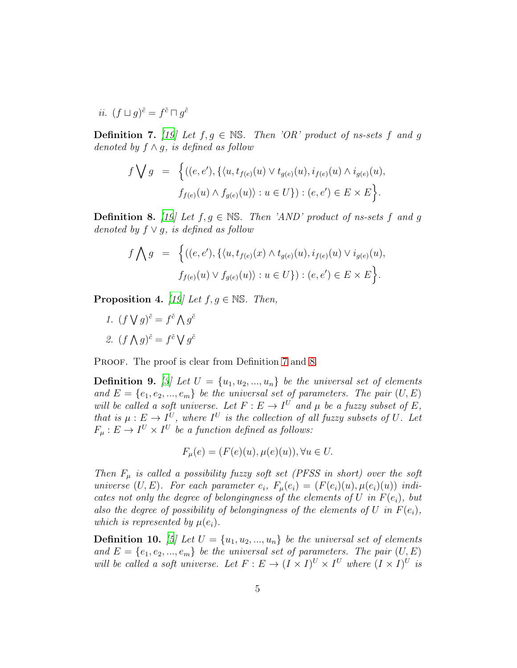*ii.*  $(f \sqcup g)$ <sup> $\tilde{c} = f^{\tilde{c}} \sqcap g^{\tilde{c}}$ </sup>

<span id="page-4-0"></span>**Definition 7.** [\[19](#page-23-8)] Let  $f, g \in \mathbb{NS}$ . Then 'OR' product of ns-sets f and g *denoted by* f ∧ g*, is defined as follow*

$$
f \bigvee g = \Big\{ ((e, e'), \{ \langle u, t_{f(e)}(u) \vee t_{g(e)}(u), i_{f(e)}(u) \wedge i_{g(e)}(u), f_{f(e)}(u) \wedge f_{g(e)}(u) \rangle : u \in U \} ) : (e, e') \in E \times E \Big\}.
$$

<span id="page-4-1"></span>**Definition 8.** [\[19\]](#page-23-8) Let  $f, g \in \mathbb{NS}$ . Then 'AND' product of ns-sets f and g *denoted by* f ∨ g*, is defined as follow*

$$
f \bigwedge g = \Big\{ ((e, e'), \{ \langle u, t_{f(e)}(x) \wedge t_{g(e)}(u), i_{f(e)}(u) \vee i_{g(e)}(u), f_{f(e)}(u) \vee f_{g(e)}(u) \rangle : u \in U \} ) : (e, e') \in E \times E \Big\}.
$$

**Proposition 4.** *[\[19\]](#page-23-8) Let*  $f, g \in \mathbb{NS}$ *. Then,* 

1.  $(f \vee g)^{\tilde{c}} = f^{\tilde{c}} \wedge g^{\tilde{c}}$ 2.  $(f \bigwedge g)$ <sup> $\tilde{c} = f^{\tilde{c}} \bigvee g^{\tilde{c}}$ </sup>

PROOF. The proof is clear from Definition [7](#page-4-0) and [8.](#page-4-1)

**Definition 9.** [\[3](#page-22-8)] Let  $U = \{u_1, u_2, ..., u_n\}$  be the universal set of elements and  $E = \{e_1, e_2, ..., e_m\}$  *be the universal set of parameters. The pair*  $(U, E)$ *will be called a soft universe. Let*  $F: E \to I^U$  *and*  $\mu$  *be a fuzzy subset of*  $E$ *, that is*  $\mu: E \to I^U$ , where  $I^U$  is the collection of all fuzzy subsets of U. Let  $F_{\mu}: E \to I^U \times I^U$  be a function defined as follows:

$$
F_{\mu}(e) = (F(e)(u), \mu(e)(u)), \forall u \in U.
$$

*Then*  $F_{\mu}$  *is called a possibility fuzzy soft set (PFSS in short) over the soft universe*  $(U, E)$ *. For each parameter*  $e_i$ ,  $F_{\mu}(e_i) = (F(e_i)(u), \mu(e_i)(u))$  *indicates not only the degree of belongingness of the elements of* U in  $F(e_i)$ , but *also the degree of possibility of belongingness of the elements of* U in  $F(e_i)$ , *which is represented by*  $\mu(e_i)$ *.* 

**Definition 10.** [\[5](#page-22-9)] Let  $U = \{u_1, u_2, ..., u_n\}$  be the universal set of elements and  $E = \{e_1, e_2, ..., e_m\}$  *be the universal set of parameters. The pair*  $(U, E)$ *will be called a soft universe. Let*  $F : E \to (I \times I)^U \times I^U$  *where*  $(I \times I)^U$  *is*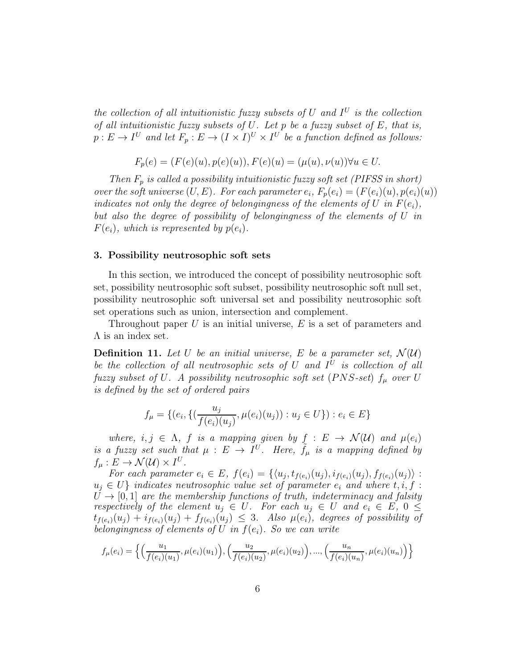*the collection of all intuitionistic fuzzy subsets of*  $U$  *and*  $I^U$  *is the collection of all intuitionistic fuzzy subsets of* U*. Let* p *be a fuzzy subset of* E*, that is,*  $p: E \to I^U$  and let  $F_p: E \to (I \times I)^U \times I^U$  be a function defined as follows:

$$
F_p(e) = (F(e)(u), p(e)(u)), F(e)(u) = (\mu(u), \nu(u)) \forall u \in U.
$$

*Then*  $F_p$  *is called a possibility intuitionistic fuzzy soft set (PIFSS in short) over the soft universe*  $(U, E)$ *. For each parameter*  $e_i$ ,  $F_p(e_i) = (F(e_i)(u), p(e_i)(u))$ *indicates not only the degree of belongingness of the elements of* U *in*  $F(e_i)$ *, but also the degree of possibility of belongingness of the elements of* U *in*  $F(e_i)$ *, which is represented by*  $p(e_i)$ *.* 

#### 3. Possibility neutrosophic soft sets

In this section, we introduced the concept of possibility neutrosophic soft set, possibility neutrosophic soft subset, possibility neutrosophic soft null set, possibility neutrosophic soft universal set and possibility neutrosophic soft set operations such as union, intersection and complement.

Throughout paper  $U$  is an initial universe,  $E$  is a set of parameters and  $\Lambda$  is an index set.

**Definition 11.** Let U be an initial universe, E be a parameter set,  $\mathcal{N}(\mathcal{U})$ be the collection of all neutrosophic sets of U and  $I^U$  is collection of all *fuzzy subset of* U. A possibility neutrosophic soft set (PNS-set)  $f_{\mu}$  over U *is defined by the set of ordered pairs*

$$
f_{\mu} = \{ (e_i, \{ (\frac{u_j}{f(e_i)(u_j)}, \mu(e_i)(u_j)) : u_j \in U \}) : e_i \in E \}
$$

*where,*  $i, j \in \Lambda$ , f *is a mapping given by*  $f : E \to \mathcal{N}(\mathcal{U})$  *and*  $\mu(e_i)$ *is a fuzzy set such that*  $\mu : E \to I^U$ . Here,  $\tilde{f}_{\mu}$  *is a mapping defined by*  $f_{\mu}: E \to \mathcal{N}(\mathcal{U}) \times I^U.$ 

*For each parameter*  $e_i \in E$ ,  $f(e_i) = \{ \langle u_j, t_{f(e_i)}(u_j), i_{f(e_i)}(u_j), f_{f(e_i)}(u_j) \rangle :$  $u_j \in U$ } *indicates neutrosophic value set of parameter*  $e_i$  *and where*  $t, i, f$ :  $U \rightarrow [0, 1]$  are the membership functions of truth, indeterminacy and falsity *respectively of the element*  $u_j \in U$ *. For each*  $u_j \in U$  *and*  $e_i \in E$ ,  $0 \leq$  $t_{f(e_i)}(u_j) + i_{f(e_i)}(u_j) + f_{f(e_i)}(u_j) \leq 3$ . Also  $\mu(e_i)$ , degrees of possibility of *belongingness of elements of* U *in* f(ei)*. So we can write*

$$
f_{\mu}(e_i) = \left\{ \left( \frac{u_1}{f(e_i)(u_1)}, \mu(e_i)(u_1) \right), \left( \frac{u_2}{f(e_i)(u_2)}, \mu(e_i)(u_2) \right), \dots, \left( \frac{u_n}{f(e_i)(u_n)}, \mu(e_i)(u_n) \right) \right\}
$$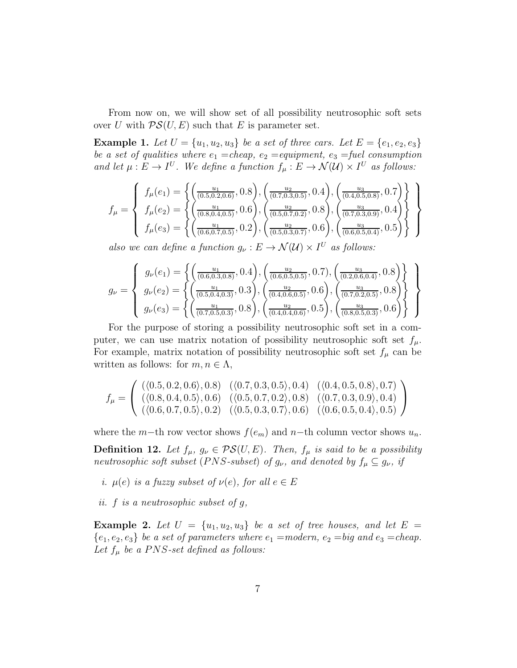From now on, we will show set of all possibility neutrosophic soft sets over U with  $PS(U, E)$  such that E is parameter set.

<span id="page-6-0"></span>**Example 1.** Let  $U = \{u_1, u_2, u_3\}$  be a set of three cars. Let  $E = \{e_1, e_2, e_3\}$ *be a set of qualities where*  $e_1 =$ *cheap,*  $e_2 =$ *equipment,*  $e_3 =$ *fuel consumption* and let  $\mu : E \to I^U$ . We define a function  $f_{\mu} : E \to \mathcal{N}(\mathcal{U}) \times I^U$  as follows:

$$
f_{\mu} = \begin{Bmatrix} f_{\mu}(e_1) = \left\{ \left( \frac{u_1}{(0.5, 0.2, 0.6)}, 0.8 \right), \left( \frac{u_2}{(0.7, 0.3, 0.5)}, 0.4 \right), \left( \frac{u_3}{(0.4, 0.5, 0.8)}, 0.7 \right) \right\} \\ f_{\mu}(e_2) = \left\{ \left( \frac{u_1}{(0.8, 0.4, 0.5)}, 0.6 \right), \left( \frac{u_2}{(0.5, 0.7, 0.2)}, 0.8 \right), \left( \frac{u_3}{(0.7, 0.3, 0.9)}, 0.4 \right) \right\} \\ f_{\mu}(e_3) = \left\{ \left( \frac{u_1}{(0.6, 0.7, 0.5)}, 0.2 \right), \left( \frac{u_2}{(0.5, 0.3, 0.7)}, 0.6 \right), \left( \frac{u_3}{(0.6, 0.5, 0.4)}, 0.5 \right) \right\} \end{Bmatrix}
$$

*also we can define a function*  $g_{\nu}: E \to \mathcal{N}(\mathcal{U}) \times I^U$  *as follows:* 

$$
g_{\nu} = \begin{Bmatrix} g_{\nu}(e_1) = \left\{ \left( \frac{u_1}{(0.6, 0.3, 0.8)}, 0.4 \right), \left( \frac{u_2}{(0.6, 0.5, 0.5)}, 0.7 \right), \left( \frac{u_3}{(0.2, 0.6, 0.4)}, 0.8 \right) \right\} \\ g_{\nu}(e_2) = \left\{ \left( \frac{u_1}{(0.5, 0.4, 0.3)}, 0.3 \right), \left( \frac{u_2}{(0.4, 0.6, 0.5)}, 0.6 \right), \left( \frac{u_3}{(0.7, 0.2, 0.5)}, 0.8 \right) \right\} \\ g_{\nu}(e_3) = \left\{ \left( \frac{u_1}{(0.7, 0.5, 0.3)}, 0.8 \right), \left( \frac{u_2}{(0.4, 0.4, 0.6)}, 0.5 \right), \left( \frac{u_3}{(0.8, 0.5, 0.3)}, 0.6 \right) \right\} \end{Bmatrix}
$$

For the purpose of storing a possibility neutrosophic soft set in a computer, we can use matrix notation of possibility neutrosophic soft set  $f_{\mu}$ . For example, matrix notation of possibility neutrosophic soft set  $f_{\mu}$  can be written as follows: for  $m, n \in \Lambda$ ,

$$
f_{\mu} = \left( \begin{array}{ccc} (\langle 0.5, 0.2, 0.6 \rangle, 0.8) & (\langle 0.7, 0.3, 0.5 \rangle, 0.4) & (\langle 0.4, 0.5, 0.8 \rangle, 0.7) \\ (\langle 0.8, 0.4, 0.5 \rangle, 0.6) & (\langle 0.5, 0.7, 0.2 \rangle, 0.8) & (\langle 0.7, 0.3, 0.9 \rangle, 0.4) \\ (\langle 0.6, 0.7, 0.5 \rangle, 0.2) & (\langle 0.5, 0.3, 0.7 \rangle, 0.6) & (\langle 0.6, 0.5, 0.4 \rangle, 0.5) \end{array} \right)
$$

where the m−th row vector shows  $f(e_m)$  and n−th column vector shows  $u_n$ . **Definition 12.** Let  $f_{\mu}$ ,  $g_{\nu} \in \mathcal{PS}(U, E)$ . Then,  $f_{\mu}$  is said to be a possibility *neutrosophic soft subset* (*PNS*-subset) *of*  $g_{\nu}$ *, and denoted by*  $f_{\mu} \subseteq g_{\nu}$ *, if* 

- *i.*  $\mu(e)$  *is a fuzzy subset of*  $\nu(e)$ *, for all*  $e \in E$
- *ii.* f *is a neutrosophic subset of* g*,*

**Example 2.** Let  $U = \{u_1, u_2, u_3\}$  be a set of tree houses, and let  $E =$  ${e_1, e_2, e_3}$  *be a set of parameters where*  $e_1 = \text{modern}, e_2 = \text{big and } e_3 = \text{clean}.$ Let  $f_{\mu}$  be a PNS-set defined as follows: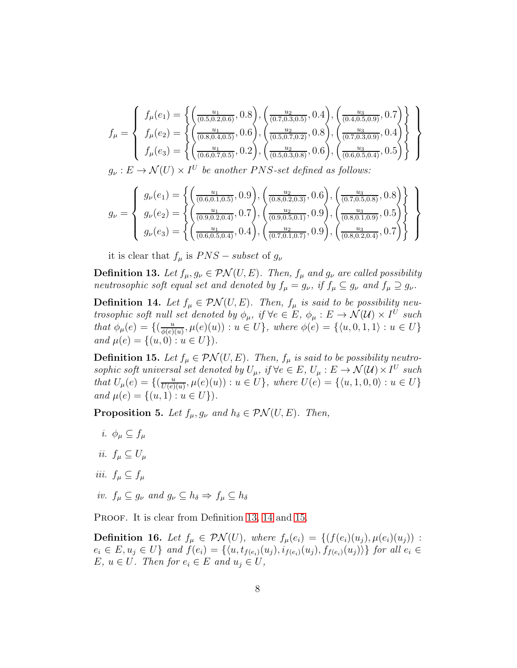$$
f_{\mu} = \begin{Bmatrix} f_{\mu}(e_1) = \left\{ \left( \frac{u_1}{(0.5, 0.2, 0.6)}, 0.8 \right), \left( \frac{u_2}{(0.7, 0.3, 0.5)}, 0.4 \right), \left( \frac{u_3}{(0.4, 0.5, 0.9)}, 0.7 \right) \right\} \\ f_{\mu}(e_2) = \left\{ \left( \frac{u_1}{(0.8, 0.4, 0.5)}, 0.6 \right), \left( \frac{u_2}{(0.5, 0.7, 0.2)}, 0.8 \right), \left( \frac{u_3}{(0.7, 0.3, 0.9)}, 0.4 \right) \right\} \\ f_{\mu}(e_3) = \left\{ \left( \frac{u_1}{(0.6, 0.7, 0.5)}, 0.2 \right), \left( \frac{u_2}{(0.5, 0.3, 0.8)}, 0.6 \right), \left( \frac{u_3}{(0.6, 0.5, 0.4)}, 0.5 \right) \right\} \end{Bmatrix}
$$

 $g_{\nu}: E \to \mathcal{N}(U) \times I$  $U$  be another PNS-set defined as follows:

$$
g_{\nu} = \begin{Bmatrix} g_{\nu}(e_1) = \left\{ \left( \frac{u_1}{(0.6, 0.1, 0.5)}, 0.9 \right), \left( \frac{u_2}{(0.8, 0.2, 0.3)}, 0.6 \right), \left( \frac{u_3}{(0.7, 0.5, 0.8)}, 0.8 \right) \right\} \\ g_{\nu}(e_2) = \left\{ \left( \frac{u_1}{(0.9, 0.2, 0.4)}, 0.7 \right), \left( \frac{u_2}{(0.9, 0.5, 0.1)}, 0.9 \right), \left( \frac{u_3}{(0.8, 0.1, 0.9)}, 0.5 \right) \right\} \\ g_{\nu}(e_3) = \left\{ \left( \frac{u_1}{(0.6, 0.5, 0.4)}, 0.4 \right), \left( \frac{u_2}{(0.7, 0.1, 0.7)}, 0.9 \right), \left( \frac{u_3}{(0.8, 0.2, 0.4)}, 0.7 \right) \right\} \end{Bmatrix}
$$

it is clear that  $f_\mu$  is  $PNS - subset$  of  $g_\nu$ 

<span id="page-7-0"></span>**Definition 13.** Let  $f_{\mu}, g_{\nu} \in \mathcal{PN}(U, E)$ . Then,  $f_{\mu}$  and  $g_{\nu}$  are called possibility *neutrosophic soft equal set and denoted by*  $f_{\mu} = g_{\nu}$ , if  $f_{\mu} \subseteq g_{\nu}$  and  $f_{\mu} \supseteq g_{\nu}$ .

<span id="page-7-1"></span>**Definition 14.** Let  $f_{\mu} \in \mathcal{PN}(U, E)$ . Then,  $f_{\mu}$  is said to be possibility neu*trosophic soft null set denoted by*  $\phi_{\mu}$ *, if*  $\forall e \in E$ *,*  $\phi_{\mu} : E \to \mathcal{N}(\mathcal{U}) \times I^U$  such *that*  $\phi_{\mu}(e) = \left\{ \left( \frac{u}{\phi(e)} \right) \right\}$  $\frac{u}{\phi(e)(u)}, \mu(e)(u)) : u \in U$ , where  $\phi(e) = \{\langle u, 0, 1, 1 \rangle : u \in U\}$ *and*  $\mu(e) = \{(u, 0) : u \in U\}$ .

<span id="page-7-2"></span>**Definition 15.** *Let*  $f_{\mu} \in \mathcal{PN}(U, E)$ *. Then,*  $f_{\mu}$  *is said to be possibility neutrosophic soft universal set denoted by*  $U_{\mu}$ , *if*  $\forall e \in E, U_{\mu}: E \to \mathcal{N}(\mathcal{U}) \times I^U$  such *that*  $U_{\mu}(e) = \left\{ \left( \frac{u}{U(e)} \right) \right\}$  $\frac{u}{U(e)(u)}, \mu(e)(u)) : u \in U$ , where  $U(e) = \{ \langle u, 1, 0, 0 \rangle : u \in U \}$ *and*  $\mu(e) = \{(u, 1) : u \in U\}$ .

**Proposition 5.** Let  $f_{\mu}, g_{\nu}$  and  $h_{\delta} \in \mathcal{PN}(U, E)$ . Then,

- *i.*  $\phi_{\mu} \subseteq f_{\mu}$
- *ii.*  $f_\mu \subseteq U_\mu$
- *iii.*  $f_\mu \subseteq f_\mu$
- *iv.*  $f_{\mu} \subseteq g_{\nu}$  *and*  $g_{\nu} \subseteq h_{\delta} \Rightarrow f_{\mu} \subseteq h_{\delta}$

PROOF. It is clear from Definition [13,](#page-7-0) [14](#page-7-1) and [15.](#page-7-2)

**Definition 16.** Let  $f_{\mu} \in \mathcal{PN}(U)$ , where  $f_{\mu}(e_i) = \{ (f(e_i)(u_i), \mu(e_i)(u_i))$ :  $e_i \in E, u_j \in U$ } and  $f(e_i) = \{ \langle u, t_{f(e_i)}(u_j), i_{f(e_i)}(u_j), f_{f(e_i)}(u_j) \rangle \}$  for all  $e_i \in$ E<sub>*,*</sub>  $u \in U$ *.* Then for  $e_i \in E$  and  $u_j \in U$ *,*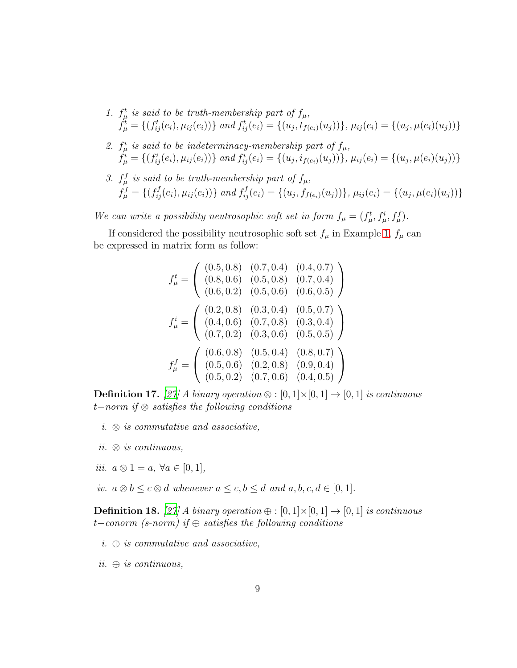- 1.  $f^t_\mu$  is said to be truth-membership part of  $f_\mu$ ,  $f^t_\mu = \{(f^t_{ij}(e_i), \mu_{ij}(e_i))\}$  and  $f^t_{ij}(e_i) = \{(u_j, t_{f(e_i)}(u_j))\}, \mu_{ij}(e_i) = \{(u_j, \mu(e_i)(u_j))\}$
- 2.  $f^i_\mu$  is said to be indeterminacy-membership part of  $f_\mu$ ,  $f^i_\mu = \{(f^i_{ij}(e_i), \mu_{ij}(e_i))\}$  and  $f^i_{ij}(e_i) = \{(u_j, i_{f(e_i)}(u_j))\}, \mu_{ij}(e_i) = \{(u_j, \mu(e_i)(u_j))\}$
- 3.  $f^f_\mu$  is said to be truth-membership part of  $f_\mu$ ,  $f^f_\mu = \{(f^f_{ij}(e_i), \mu_{ij}(e_i))\}$  and  $f^f_{ij}(e_i) = \{(u_j, f_{f(e_i)}(u_j))\}, \mu_{ij}(e_i) = \{(u_j, \mu(e_i)(u_j))\}$

We can write a possibility neutrosophic soft set in form  $f_{\mu} = (f_{\mu}^t, f_{\mu}^i, f_{\mu}^f)$ .

If considered the possibility neutrosophic soft set  $f_\mu$  in Example [1,](#page-6-0)  $f_\mu$  can be expressed in matrix form as follow:

$$
f_{\mu}^{t} = \begin{pmatrix} (0.5, 0.8) & (0.7, 0.4) & (0.4, 0.7) \\ (0.8, 0.6) & (0.5, 0.8) & (0.7, 0.4) \\ (0.6, 0.2) & (0.5, 0.6) & (0.6, 0.5) \end{pmatrix}
$$

$$
f_{\mu}^{i} = \begin{pmatrix} (0.2, 0.8) & (0.3, 0.4) & (0.5, 0.7) \\ (0.4, 0.6) & (0.7, 0.8) & (0.3, 0.4) \\ (0.7, 0.2) & (0.3, 0.6) & (0.5, 0.5) \end{pmatrix}
$$

$$
f_{\mu}^{f} = \begin{pmatrix} (0.6, 0.8) & (0.5, 0.4) & (0.8, 0.7) \\ (0.5, 0.6) & (0.2, 0.8) & (0.9, 0.4) \\ (0.5, 0.2) & (0.7, 0.6) & (0.4, 0.5) \end{pmatrix}
$$

**Definition 17.** *[\[27\]](#page-24-11) A binary operation* ⊗ :  $[0, 1] \times [0, 1]$  →  $[0, 1]$  *is continuous* t−*norm if* ⊗ *satisfies the following conditions*

- *i.* ⊗ *is commutative and associative,*
- *ii.* ⊗ *is continuous,*
- *iii.*  $a \otimes 1 = a, \forall a \in [0, 1]$ ,
- *iv.*  $a \otimes b \leq c \otimes d$  *whenever*  $a \leq c, b \leq d$  *and*  $a, b, c, d \in [0, 1]$ *.*

**Definition 18.** [\[27\]](#page-24-11) *A* binary operation  $\oplus$  :  $[0,1] \times [0,1] \rightarrow [0,1]$  *is continuous* t−*conorm (s-norm) if* ⊕ *satisfies the following conditions*

- *i.* ⊕ *is commutative and associative,*
- *ii.* ⊕ *is continuous,*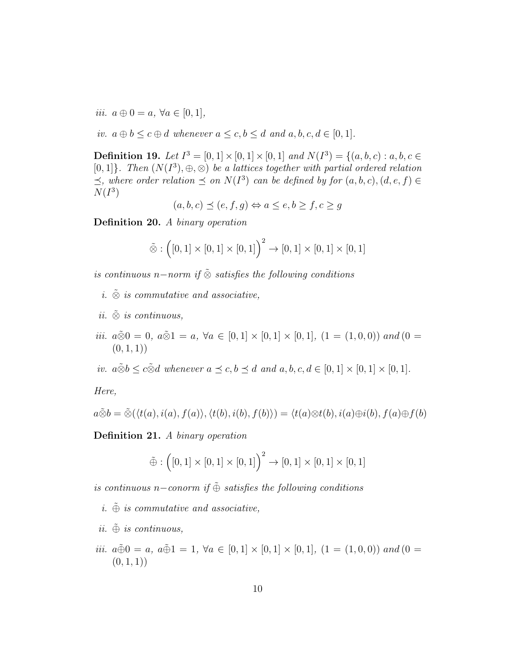*iii.*  $a \oplus 0 = a, \forall a \in [0, 1]$ ,

*iv.*  $a \oplus b \leq c \oplus d$  *whenever*  $a \leq c, b \leq d$  *and*  $a, b, c, d \in [0, 1]$ *.* 

**Definition 19.** *Let*  $I^3 = [0, 1] \times [0, 1] \times [0, 1]$  *and*  $N(I^3) = \{(a, b, c) : a, b, c \in \mathbb{R} \times \mathbb{R}^3 \times \mathbb{R}^3 \times \mathbb{R}^3 \times \mathbb{R}^3 \times \mathbb{R}^3 \times \mathbb{R}^3 \times \mathbb{R}^3 \times \mathbb{R}^3 \times \mathbb{R}^3 \times \mathbb{R}^3 \times \mathbb{R}^3 \times \mathbb{R}^3 \times \mathbb{R}^3 \times \math$ [0, 1] $\}$ *. Then*  $(N(I^3), \oplus, \otimes)$  *be a lattices together with partial ordered relation*  $\preceq$ , where order relation  $\preceq$  on  $N(I^3)$  can be defined by for  $(a, b, c)$ ,  $(d, e, f) \in$  $N(I^3)$ 

$$
(a, b, c) \preceq (e, f, g) \Leftrightarrow a \le e, b \ge f, c \ge g
$$

Definition 20. *A binary operation*

$$
\tilde{\otimes} : ((0,1] \times [0,1] \times [0,1])^{2} \to [0,1] \times [0,1] \times [0,1]
$$

*is continuous* <sup>n</sup>−*norm if* <sup>⊗</sup>˜ *satisfies the following conditions*

- *i.* <sup>⊗</sup>˜ *is commutative and associative,*
- *ii.* <sup>⊗</sup>˜ *is continuous,*
- *iii.*  $a\tilde{\otimes}0 = 0$ ,  $a\tilde{\otimes}1 = a$ ,  $\forall a \in [0,1] \times [0,1] \times [0,1]$ ,  $(1 = (1,0,0))$  and  $(0 =$  $(0, 1, 1)$
- *iv.*  $a\tilde{\otimes}b \leq c\tilde{\otimes}d$  *whenever*  $a \leq c, b \leq d$  *and*  $a, b, c, d \in [0, 1] \times [0, 1] \times [0, 1]$ *.*

*Here,*

$$
a\tilde{\otimes}b=\tilde{\otimes}(\langle t(a), i(a), f(a) \rangle, \langle t(b), i(b), f(b) \rangle) = \langle t(a)\otimes t(b), i(a)\oplus i(b), f(a)\oplus f(b)
$$

Definition 21. *A binary operation*

$$
\tilde{\oplus} : ((0,1] \times [0,1] \times [0,1])^{2} \to [0,1] \times [0,1] \times [0,1]
$$

*is continuous* <sup>n</sup>−*conorm if* <sup>⊕</sup>˜ *satisfies the following conditions*

- $i. \oplus$  *is commutative and associative,*
- *ii.* <sup>⊕</sup>˜ *is continuous,*
- *iii.*  $a\tilde{\oplus}0 = a$ ,  $a\tilde{\oplus}1 = 1$ ,  $\forall a \in [0,1] \times [0,1] \times [0,1]$ ,  $(1 = (1,0,0))$  and  $(0 =$  $(0, 1, 1)$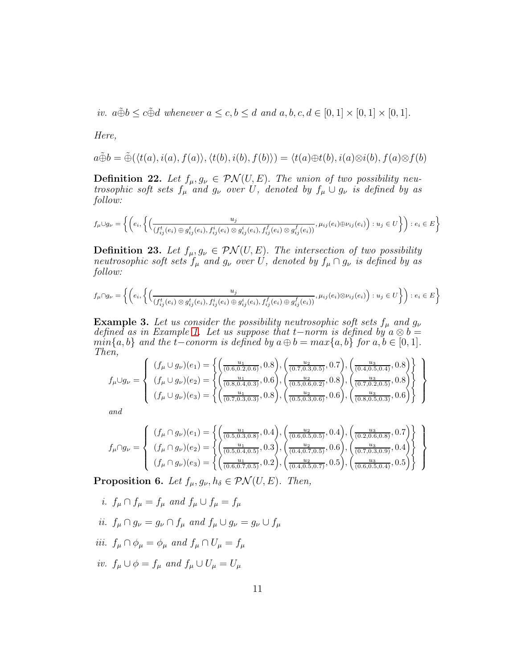*iv.*  $a \tilde{\oplus} b \leq c \tilde{\oplus} d$  *whenever*  $a \leq c, b \leq d$  *and*  $a, b, c, d \in [0, 1] \times [0, 1] \times [0, 1]$ *.* 

*Here,*

$$
a\tilde{\oplus}b = \tilde{\oplus}(\langle t(a), i(a), f(a) \rangle, \langle t(b), i(b), f(b) \rangle) = \langle t(a)\oplus t(b), i(a)\otimes i(b), f(a)\otimes f(b)
$$

<span id="page-10-0"></span>**Definition 22.** Let  $f_{\mu}, g_{\nu} \in \mathcal{PN}(U, E)$ . The union of two possibility neu*trosophic soft sets*  $f_{\mu}$  *and*  $g_{\nu}$  *over* U, *denoted by*  $f_{\mu} \cup g_{\nu}$  *is defined by as follow:*

$$
f_{\mu}\cup g_{\nu} = \left\{ \left(e_i, \left\{ \left(\frac{u_j}{(f_{ij}^t(e_i) \oplus g_{ij}^t(e_i), f_{ij}^i(e_i) \otimes g_{ij}^i(e_i), f_{ij}^f(e_i) \otimes g_{ij}^f(e_i))}, \mu_{ij}(e_i) \oplus \nu_{ij}(e_i)\right) : u_j \in U \right\} \right) : e_i \in E \right\}
$$

<span id="page-10-1"></span>**Definition 23.** Let  $f_{\mu}, g_{\nu} \in \mathcal{PN}(U, E)$ . The intersection of two possibility *neutrosophic soft sets*  $f_{\mu}$  *and*  $g_{\nu}$  *over*  $\dot{U}$ *, denoted by*  $f_{\mu} \cap g_{\nu}$  *is defined by as follow:*

$$
f_{\mu}\cap g_{\nu} = \left\{ \left( e_i, \left\{ \left( \frac{u_j}{(f_{ij}^t(e_i) \otimes g_{ij}^t(e_i), f_{ij}^i(e_i) \oplus g_{ij}^i(e_i), f_{ij}^f(e_i) \oplus g_{ij}^f(e_i))}, \mu_{ij}(e_i) \otimes \nu_{ij}(e_i) \right) : u_j \in U \right\} \right) : e_i \in E \right\}
$$

**Example 3.** Let us consider the possibility neutrosophic soft sets  $f_{\mu}$  and  $g_{\nu}$ *defined as in Example [1.](#page-6-0) Let us suppose that*  $t$ −*norm is defined by*  $a \otimes b =$  $min\{a, b\}$  *and the t*−*conorm is defined by*  $a \oplus b = max\{a, b\}$  *for*  $a, b \in [0, 1]$ *. Then,*

fµ∪g<sup>ν</sup> = (f<sup>µ</sup> <sup>∪</sup> <sup>g</sup>ν)(e1) = n <sup>u</sup><sup>1</sup> (0.6,0.2,0.6) , 0.8 , u2 (0.7,0.3,0.5) , 0.7 , u3 (0.4,0.5,0.4) , 0.8 o (f<sup>µ</sup> <sup>∪</sup> <sup>g</sup>ν)(e2) = n <sup>u</sup><sup>1</sup> (0.8,0.4,0.3) , 0.6 , u2 (0.5,0.6,0.2) , 0.8 , u3 (0.7,0.2,0.5) , 0.8 o (f<sup>µ</sup> <sup>∪</sup> <sup>g</sup>ν)(e3) = n <sup>u</sup><sup>1</sup> (0.7,0.3,0.3) , 0.8 , u2 (0.5,0.3,0.6) , 0.6 , u3 (0.8,0.5,0.3) , 0.6 o 

and

$$
f_{\mu}\cap g_{\nu} = \left\{ \begin{array}{l} (f_{\mu}\cap g_{\nu})(e_1) = \left\{ \left( \frac{u_1}{(0.5,0.3,0.8)}, 0.4 \right), \left( \frac{u_2}{(0.6,0.5,0.5)}, 0.4 \right), \left( \frac{u_3}{(0.2,0.6,0.8)}, 0.7 \right) \right\} \\ (f_{\mu}\cap g_{\nu})(e_2) = \left\{ \left( \frac{u_1}{(0.5,0.4,0.5)}, 0.3 \right), \left( \frac{u_2}{(0.4,0.7,0.5)}, 0.6 \right), \left( \frac{u_3}{(0.7,0.3,0.9)}, 0.4 \right) \right\} \\ (f_{\mu}\cap g_{\nu})(e_3) = \left\{ \left( \frac{u_1}{(0.6,0.7,0.5)}, 0.2 \right), \left( \frac{u_2}{(0.4,0.5,0.7)}, 0.5 \right), \left( \frac{u_3}{(0.6,0.5,0.4)}, 0.5 \right) \right\} \end{array} \right\}
$$

**Proposition 6.** *Let*  $f_{\mu}, g_{\nu}, h_{\delta} \in \mathcal{PN}(U, E)$ *. Then,* 

- *i.*  $f_\mu \cap f_\mu = f_\mu$  *and*  $f_\mu \cup f_\mu = f_\mu$
- *ii.*  $f_\mu \cap g_\nu = g_\nu \cap f_\mu$  *and*  $f_\mu \cup g_\nu = g_\nu \cup f_\mu$
- *iii.*  $f_{\mu} \cap \phi_{\mu} = \phi_{\mu}$  *and*  $f_{\mu} \cap U_{\mu} = f_{\mu}$
- *iv.*  $f_\mu \cup \phi = f_\mu$  *and*  $f_\mu \cup U_\mu = U_\mu$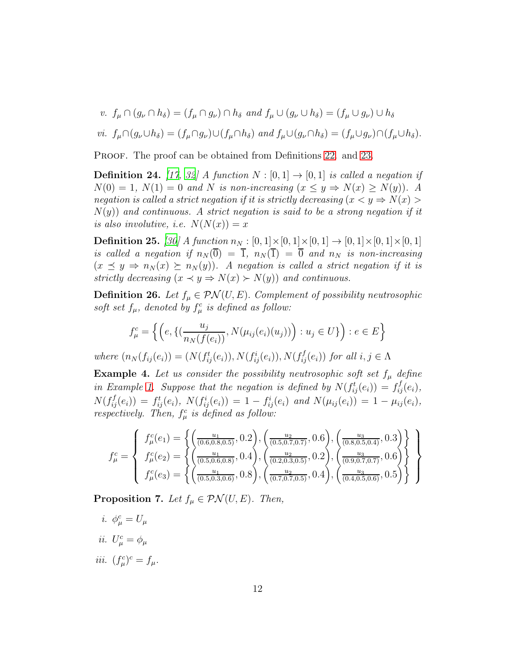$$
v. f_{\mu} \cap (g_{\nu} \cap h_{\delta}) = (f_{\mu} \cap g_{\nu}) \cap h_{\delta} \text{ and } f_{\mu} \cup (g_{\nu} \cup h_{\delta}) = (f_{\mu} \cup g_{\nu}) \cup h_{\delta}
$$

*vi.* 
$$
f_{\mu} \cap (g_{\nu} \cup h_{\delta}) = (f_{\mu} \cap g_{\nu}) \cup (f_{\mu} \cap h_{\delta})
$$
 and  $f_{\mu} \cup (g_{\nu} \cap h_{\delta}) = (f_{\mu} \cup g_{\nu}) \cap (f_{\mu} \cup h_{\delta})$ .

PROOF. The proof can be obtained from Definitions [22.](#page-10-0) and [23.](#page-10-1)

**Definition 24.** [\[17,](#page-23-11) [32](#page-24-12)] A function  $N : [0,1] \rightarrow [0,1]$  is called a negation if  $N(0) = 1$ ,  $N(1) = 0$  and N is non-increasing  $(x \leq y \Rightarrow N(x) \geq N(y))$ . A *negation is called a strict negation if it is strictly decreasing*  $(x < y \Rightarrow N(x) >$ N(y)) *and continuous. A strict negation is said to be a strong negation if it is also involutive, i.e.*  $N(N(x)) = x$ 

**Definition 25.** [\[30](#page-24-8)] A function  $n_N : [0, 1] \times [0, 1] \times [0, 1] \rightarrow [0, 1] \times [0, 1] \times [0, 1]$ *is called a negation if*  $n_N(\overline{0}) = \overline{1}$ ,  $n_N(\overline{1}) = \overline{0}$  *and*  $n_N$  *is non-increasing*  $(x \preceq y \Rightarrow n_N(x) \succeq n_N(y))$ . A negation is called a strict negation if it is *strictly decreasing*  $(x \prec y \Rightarrow N(x) \succ N(y))$  *and continuous.* 

<span id="page-11-0"></span>**Definition 26.** *Let*  $f_{\mu} \in \mathcal{PN}(U, E)$ . *Complement of possibility neutrosophic* soft set  $f_{\mu}$ , denoted by  $f_{\mu}^c$  is defined as follow:

$$
f_{\mu}^{c} = \left\{ \left( e, \left\{ \left( \frac{u_{j}}{n_{N}(f(e_{i}))}, N(\mu_{ij}(e_{i})(u_{j})) \right) : u_{j} \in U \right\} \right) : e \in E \right\}
$$

 $where (n_N(f_{ij}(e_i)) = (N(f_{ij}^t(e_i)), N(f_{ij}^i(e_i)), N(f_{ij}^f(e_i))$  *for all*  $i, j \in \Lambda$ 

**Example 4.** Let us consider the possibility neutrosophic soft set  $f_{\mu}$  define in Example [1.](#page-6-0) Suppose that the negation is defined by  $N(f_{ij}^t(e_i)) = f_{ij}^f(e_i)$ ,  $N(f_{ij}^f(e_i)) = f_{ij}^t(e_i), N(f_{ij}^i(e_i)) = 1 - f_{ij}^i(e_i)$  and  $N(\mu_{ij}(e_i)) = 1 - \mu_{ij}(e_i),$ *respectively. Then,*  $f^c_\mu$  *is defined as follow:* 

$$
f_{\mu}^{c} = \left\{\begin{array}{l} f_{\mu}^{c}(e_{1}) = \left\{ \left(\frac{u_{1}}{(0.6,0.8,0.5)}, 0.2\right), \left(\frac{u_{2}}{(0.5,0.7,0.7)}, 0.6\right), \left(\frac{u_{3}}{(0.8,0.5,0.4)}, 0.3\right) \right\} \\ f_{\mu}^{c}(e_{2}) = \left\{ \left(\frac{u_{1}}{(0.5,0.6,0.8)}, 0.4\right), \left(\frac{u_{2}}{(0.2,0.3,0.5)}, 0.2\right), \left(\frac{u_{3}}{(0.9,0.7,0.7)}, 0.6\right) \right\} \\ f_{\mu}^{c}(e_{3}) = \left\{ \left(\frac{u_{1}}{(0.5,0.3,0.6)}, 0.8\right), \left(\frac{u_{2}}{(0.7,0.7,0.5)}, 0.4\right), \left(\frac{u_{3}}{(0.4,0.5,0.6)}, 0.5\right) \right\} \end{array}\right\}
$$

**Proposition 7.** Let  $f_{\mu} \in \mathcal{PN}(U, E)$ . Then,

- *i.*  $\phi^c_\mu = U_\mu$
- *ii.*  $U^c_\mu = \phi_\mu$
- *iii.*  $(f_{\mu}^{c})^{c} = f_{\mu}$ .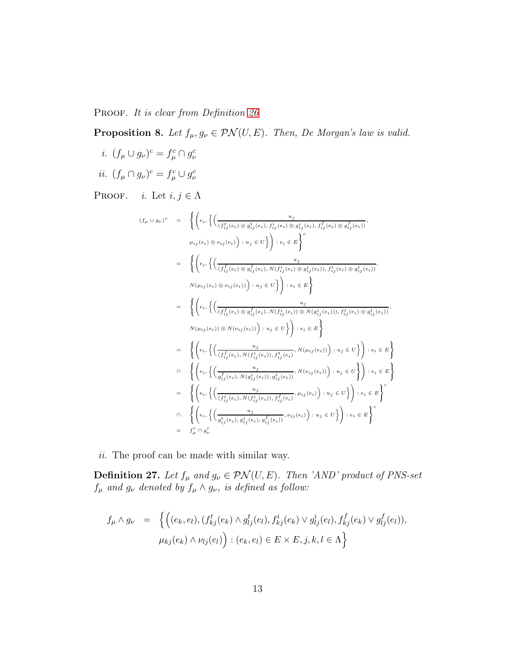Proof. *It is clear from Definition [26](#page-11-0)*

**Proposition 8.** *Let*  $f_{\mu}, g_{\nu} \in \mathcal{PN}(U, E)$ *. Then, De Morgan's law is valid.* 

*i.*  $(f_{\mu} \cup g_{\nu})^c = f_{\mu}^c \cap g_{\nu}^c$ *ii.*  $(f_{\mu} \cap g_{\nu})^c = f_{\mu}^c \cup g_{\nu}^c$ PROOF. *i.* Let  $i, j \in \Lambda$  $(f_\mu \cup g_\nu)^c$  =  $\left\{$ ₹  $\left\{e_i, \left\{\left(\frac{u_j}{(ft\ (e_i) \oplus qt\ (e_i)\ f^i\ (e_i) \otimes$  $(f_{ij}^t(e_i) \oplus g_{ij}^t(e_i), f_{ij}^i(e_i) \otimes g_{ij}^i(e_i), f_{ij}^f(e_i) \otimes g_{ij}^f(e_i))$  $\mu_{ij}(e_i) \oplus \nu_{ij}(e_i) \bigg) : u_j \in U \bigg\} \bigg) : e_i \in E \bigg\}$ J c  $=$   $\left\{$ ₹  $\left\{e_i, \left\{\left(\frac{u_j}{\left(f(e_i) \otimes g(f(e_i))\right) N(f^i(e_i))}\right)}\right\}\right\}$  $(f_{ij}^f(e_i)\otimes g_{ij}^f(e_i),N(f_{ij}^i(e_i)\otimes g_{ij}^i(e_i)),f_{ij}^t(e_i)\oplus g_{ij}^t(e_i))\overline{\otimes}$  $N(\mu_{ij}(e_i) \oplus \nu_{ij}(e_i))\bigg) : u_j \in U\bigg\}\Bigg) : e_i \in E\bigg\}$ J  $=$   $\left\{$ ₹  $\left\{e_i, \left\{\left(\frac{u_j}{(f(g_i) \otimes g^f(g_i))} \frac{u_j}{(g_i) \otimes g^f(g_i))}\right)\right\}\right\}$  $(f_{ij}^f(e_i) \otimes g_{ij}^f(e_i), N(f_{ij}^i(e_i)) \oplus N(g_{ij}^i(e_i))), f_{ij}^t(e_i) \oplus g_{ij}^t(e_i))$  $N(\mu_{ij}(e_i)) \otimes N(\nu_{ij}(e_i))\bigg) : u_j \in U\bigg\}\bigg) : e_i \in E\bigg\}$ J  $=$   $\left\{$ ₹  $\left\{e_i, \left\{\left(\frac{u_j}{\left(f\right)(\alpha)\right)}\right\}_{i \in I} \right\}$  $\frac{u_j}{(f_{ij}^f(e_i),N(f_{ij}^i(e_i)),f_{ij}^t(e_i)},N(\mu_{ij}(e_i))\bigg): u_j\in U\bigg\}\Bigg): e_i\in E\Bigg\}$ J ∩ { ₹  $\left\{e_i, \left\{\left(\frac{u_j}{e^{f_i}(e_i) - N(e^{i})}\right)\right\}\right\}$  $\left. \begin{array}{c} u_j \\ g_{ij}^f(e_i), N(g_{ij}^i(e_i)), g_{ij}^t(e_i)) \end{array} \right) \textrm{,} \ N(\nu_{ij}(e_i)) \bigg): u_j \in U \Bigg\}$ J  $\Bigg)$  :  $e_i \in E$ J  $=$   $\left\{$ ₹  $\left\{e_i, \bigg\{ \left(\frac{u_j}{\left(f^t\left(e_i\right), N\left(f^i\right)\right)}\right\}$  $\frac{u_j}{(f_{ij}^t(e_i), N(f_{ij}^i(e_i)), f_{ij}^f(e_i)}, \mu_{ij}(e_i)\bigg): u_j \in U\bigg\}\Bigg): e_i \in E\Bigg\}$ J c ∩ {  $\left\{e_i, \left\{\left(\frac{u_j}{e^{t_i}(v_j) - e^{i_i}(v_j)}\right)\right\}\right\}$  $\left. \begin{array}{c} u_j \\ g_{ij}^t(e_i),g_{ij}^i(e_i),g_{ij}^f(e_i)) \end{array} \right) : u_j \in U \bigg\} \right) : e_i \in E \Bigg\}$ c

*ii.* The proof can be made with similar way.

₹

 $=$  f c  $\frac{c}{\mu}\cap g$ c ν

**Definition 27.** Let  $f_{\mu}$  and  $g_{\nu} \in \mathcal{PN}(U, E)$ . Then 'AND' product of PNS-set  $f_{\mu}$  *and*  $g_{\nu}$  *denoted by*  $f_{\mu} \wedge g_{\nu}$ *, is defined as follow:* 

J

$$
f_{\mu} \wedge g_{\nu} = \left\{ \left( (e_k, e_l), (f_{kj}^t(e_k) \wedge g_{lj}^t(e_l), f_{kj}^i(e_k) \vee g_{lj}^i(e_l), f_{kj}^f(e_k) \vee g_{lj}^f(e_l)), \right.\right.\\ \left. \mu_{kj}(e_k) \wedge \nu_{lj}(e_l) \right\} : (e_k, e_l) \in E \times E, j, k, l \in \Lambda \right\}
$$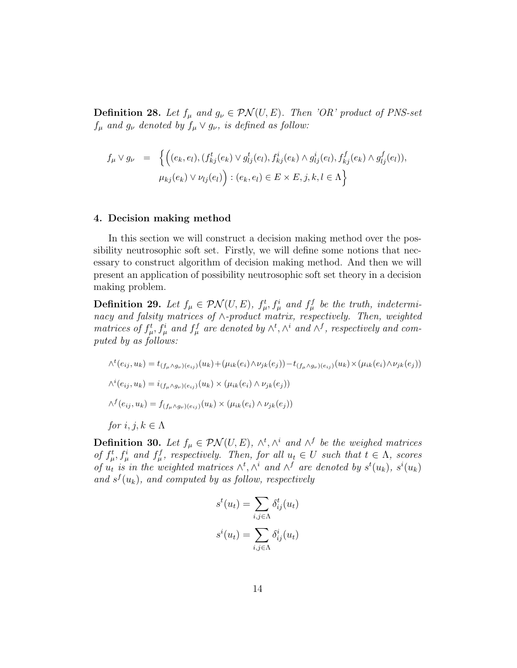**Definition 28.** Let  $f_{\mu}$  and  $g_{\nu} \in \mathcal{PN}(U, E)$ . Then 'OR' product of PNS-set  $f_{\mu}$  *and*  $g_{\nu}$  *denoted by*  $f_{\mu} \vee g_{\nu}$ *, is defined as follow:* 

$$
f_{\mu} \vee g_{\nu} = \left\{ \left( (e_k, e_l), (f_{kj}^t(e_k) \vee g_{lj}^t(e_l), f_{kj}^i(e_k) \wedge g_{lj}^i(e_l), f_{kj}^f(e_k) \wedge g_{lj}^f(e_l)), \right. \\ \left. \mu_{kj}(e_k) \vee \nu_{lj}(e_l) \right) : (e_k, e_l) \in E \times E, j, k, l \in \Lambda \right\}
$$

#### 4. Decision making method

In this section we will construct a decision making method over the possibility neutrosophic soft set. Firstly, we will define some notions that necessary to construct algorithm of decision making method. And then we will present an application of possibility neutrosophic soft set theory in a decision making problem.

<span id="page-13-0"></span>**Definition 29.** Let  $f_{\mu} \in \mathcal{PN}(U, E)$ ,  $f_{\mu}^t$ ,  $f_{\mu}^i$  and  $f_{\mu}^f$  be the truth, indetermi*nacy and falsity matrices of* ∧*-product matrix, respectively. Then, weighted matrices of*  $f^t_\mu$ ,  $f^i_\mu$  *and*  $f^f_\mu$  *are denoted by*  $\wedge^t$ ,  $\wedge^i$  *and*  $\wedge^f$ *, respectively and computed by as follows:*

$$
\Lambda^t(e_{ij}, u_k) = t_{(f_\mu \wedge g_\nu)(e_{ij})}(u_k) + (\mu_{ik}(e_i) \wedge \nu_{jk}(e_j)) - t_{(f_\mu \wedge g_\nu)(e_{ij})}(u_k) \times (\mu_{ik}(e_i) \wedge \nu_{jk}(e_j))
$$
  

$$
\Lambda^i(e_{ij}, u_k) = i_{(f_\mu \wedge g_\nu)(e_{ij})}(u_k) \times (\mu_{ik}(e_i) \wedge \nu_{jk}(e_j))
$$
  

$$
\Lambda^f(e_{ij}, u_k) = f_{(f_\mu \wedge g_\nu)(e_{ij})}(u_k) \times (\mu_{ik}(e_i) \wedge \nu_{jk}(e_j))
$$
  
for  $i, j, k \in \Lambda$ 

<span id="page-13-1"></span>**Definition 30.** Let  $f_{\mu} \in \mathcal{PN}(U, E)$ ,  $\wedge^t$ ,  $\wedge^i$  and  $\wedge^f$  be the weighed matrices *of*  $f^t_\mu$ ,  $f^i_\mu$  and  $f^f_\mu$ , respectively. Then, for all  $u_t \in U$  such that  $t \in \Lambda$ , scores *of*  $u_t$  *is in the weighted matrices*  $\wedge^t$ ,  $\wedge^i$  *and*  $\wedge^f$  *are denoted by*  $s^t(u_k)$ *,*  $s^i(u_k)$ and  $s^f(u_k)$ , and computed by as follow, respectively

$$
s^{t}(u_{t}) = \sum_{i,j \in \Lambda} \delta_{ij}^{t}(u_{t})
$$

$$
s^{i}(u_{t}) = \sum_{i,j \in \Lambda} \delta_{ij}^{i}(u_{t})
$$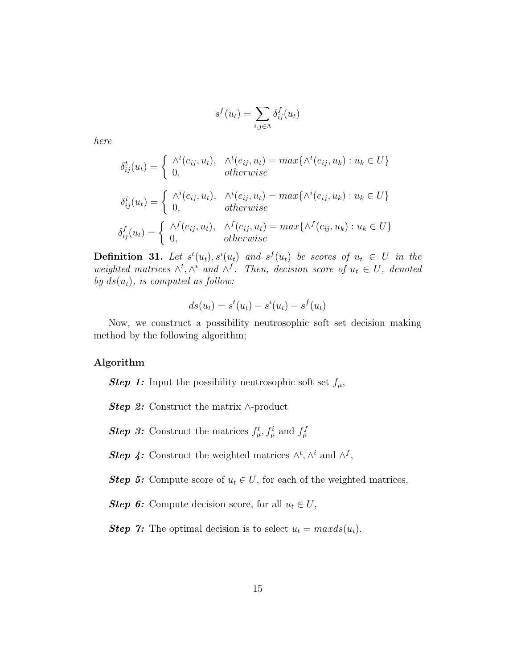$$
s^f(u_t) = \sum_{i,j \in \Lambda} \delta_{ij}^f(u_t)
$$

*here*

$$
\delta_{ij}^{t}(u_{t}) = \begin{cases}\n\bigwedge^{t}(e_{ij}, u_{t}), & \bigwedge^{t}(e_{ij}, u_{t}) = max\{\bigwedge^{t}(e_{ij}, u_{k}) : u_{k} \in U\} \\
0, & otherwise\n\end{cases}
$$
\n
$$
\delta_{ij}^{i}(u_{t}) = \begin{cases}\n\bigwedge^{i}(e_{ij}, u_{t}), & \bigwedge^{i}(e_{ij}, u_{t}) = max\{\bigwedge^{i}(e_{ij}, u_{k}) : u_{k} \in U\} \\
0, & otherwise\n\end{cases}
$$
\n
$$
\delta_{ij}^{f}(u_{t}) = \begin{cases}\n\bigwedge^{f}(e_{ij}, u_{t}), & \bigwedge^{f}(e_{ij}, u_{t}) = max\{\bigwedge^{f}(e_{ij}, u_{k}) : u_{k} \in U\} \\
0, & otherwise\n\end{cases}
$$

**Definition 31.** Let  $s^t(u_t), s^i(u_t)$  and  $s^f(u_t)$  be scores of  $u_t \in U$  in the *weighted matrices*  $\wedge^t$ ,  $\wedge^i$  *and*  $\wedge^f$ *. Then, decision score of*  $u_t \in U$ *, denoted by*  $ds(u_t)$ *, is computed as follow:* 

$$
ds(u_t) = st(u_t) - si(u_t) - sf(u_t)
$$

Now, we construct a possibility neutrosophic soft set decision making method by the following algorithm;

#### Algorithm

**Step 1:** Input the possibility neutrosophic soft set  $f_{\mu}$ ,

Step 2: Construct the matrix ∧-product

**Step 3:** Construct the matrices  $f^t_\mu$ ,  $f^i_\mu$  and  $f^t_\mu$ 

**Step 4:** Construct the weighted matrices  $\wedge^t, \wedge^i$  and  $\wedge^f$ ,

**Step 5:** Compute score of  $u_t \in U$ , for each of the weighted matrices,

**Step 6:** Compute decision score, for all  $u_t \in U$ ,

**Step 7:** The optimal decision is to select  $u_t = max ds(u_i)$ .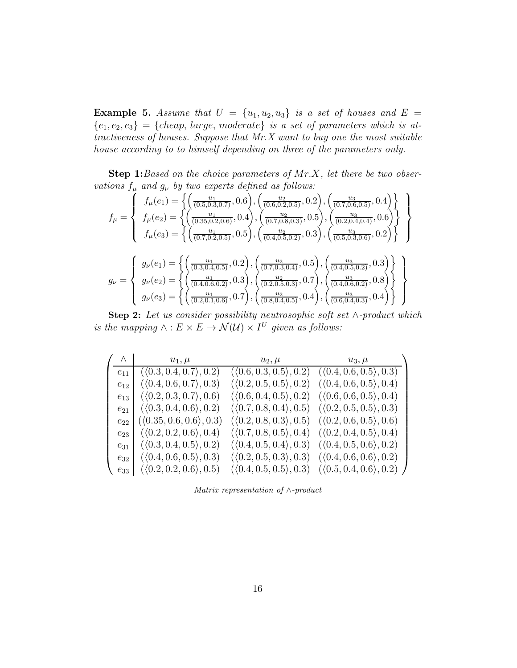**Example 5.** Assume that  $U = \{u_1, u_2, u_3\}$  is a set of houses and  $E =$  ${e_1, e_2, e_3} = {cheap, large, moderate}$  *is a set of parameters which is attractiveness of houses. Suppose that Mr.X want to buy one the most suitable house according to to himself depending on three of the parameters only.*

Step 1:*Based on the choice parameters of* Mr.X*, let there be two observations*  $f_{\mu}$  *and*  $g_{\nu}$  *by two experts defined as follows:* 

$$
f_{\mu} = \begin{cases} f_{\mu}(e_1) = \left\{ \left( \frac{u_1}{(0.5, 0.3, 0.7)}, 0.6 \right), \left( \frac{u_2}{(0.6, 0.2, 0.5)}, 0.2 \right), \left( \frac{u_3}{(0.7, 0.6, 0.5)}, 0.4 \right) \right\} \\ f_{\mu}(e_2) = \left\{ \left( \frac{u_1}{(0.35, 0.2, 0.6)}, 0.4 \right), \left( \frac{u_2}{(0.7, 0.8, 0.3)}, 0.5 \right), \left( \frac{u_3}{(0.2, 0.4, 0.4)}, 0.6 \right) \right\} \\ f_{\mu}(e_3) = \left\{ \left( \frac{u_1}{(0.7, 0.2, 0.5)}, 0.5 \right), \left( \frac{u_2}{(0.4, 0.5, 0.2)}, 0.3 \right), \left( \frac{u_3}{(0.5, 0.3, 0.6)}, 0.2 \right) \right\} \end{cases}
$$

$$
g_{\nu} = \begin{cases} g_{\nu}(e_1) = \left\{ \left( \frac{u_1}{(0.3, 0.4, 0.5)}, 0.2 \right), \left( \frac{u_2}{(0.7, 0.3, 0.4)}, 0.5 \right), \left( \frac{u_3}{(0.4, 0.5, 0.2)}, 0.3 \right) \right\} \\ g_{\nu}(e_2) = \left\{ \left( \frac{u_1}{(0.4, 0.6, 0.2)}, 0.3 \right), \left( \frac{u_2}{(0.2, 0.5, 0.3)}, 0.7 \right), \left( \frac{u_3}{(0.4, 0.6, 0.2)}, 0.8 \right) \right\} \\ g_{\nu}(e_3) = \left\{ \left( \frac{u_1}{(0.2, 0.1, 0.6)}, 0.7 \right), \left( \frac{u_2}{(0.8, 0.4, 0.5)}, 0.4 \right), \left( \frac{u_3}{(0.6, 0.4, 0.3)}, 0.4 \right) \right\} \end{cases}
$$

Step 2: *Let us consider possibility neutrosophic soft set* ∧*-product which is the mapping*  $\wedge : E \times E \to \mathcal{N}(\mathcal{U}) \times I^U$  given as follows:

|          | $\wedge$   $u_1, \mu$                   |                                                                               | $u_2, \mu$ $u_3, \mu$                                                         |
|----------|-----------------------------------------|-------------------------------------------------------------------------------|-------------------------------------------------------------------------------|
| $e_{11}$ | $(\langle 0.3, 0.4, 0.7 \rangle, 0.2)$  |                                                                               | $(\langle 0.6, 0.3, 0.5 \rangle, 0.2)$ $(\langle 0.4, 0.6, 0.5 \rangle, 0.3)$ |
| $e_{12}$ | $(\langle 0.4, 0.6, 0.7 \rangle, 0.3)$  | $(\langle 0.2, 0.5, 0.5 \rangle, 0.2)$ $(\langle 0.4, 0.6, 0.5 \rangle, 0.4)$ |                                                                               |
| $e_{13}$ | $(\langle 0.2, 0.3, 0.7 \rangle, 0.6)$  |                                                                               | $(\langle 0.6, 0.4, 0.5 \rangle, 0.2)$ $(\langle 0.6, 0.6, 0.5 \rangle, 0.4)$ |
| $e_{21}$ | $(\langle 0.3, 0.4, 0.6 \rangle, 0.2)$  | $(\langle 0.7, 0.8, 0.4 \rangle, 0.5)$                                        | $(\langle 0.2, 0.5, 0.5 \rangle, 0.3)$                                        |
| $e_{22}$ | $(\langle 0.35, 0.6, 0.6 \rangle, 0.3)$ | $(\langle 0.2, 0.8, 0.3 \rangle, 0.5)$                                        | $(\langle 0.2, 0.6, 0.5 \rangle, 0.6)$                                        |
| $e_{23}$ | $(\langle 0.2, 0.2, 0.6 \rangle, 0.4)$  | $(\langle 0.7, 0.8, 0.5 \rangle, 0.4)$                                        | $(\langle 0.2, 0.4, 0.5 \rangle, 0.4)$                                        |
| $e_{31}$ | $(\langle 0.3, 0.4, 0.5 \rangle, 0.2)$  | $(\langle 0.4, 0.5, 0.4 \rangle, 0.3)$                                        | $(\langle 0.4, 0.5, 0.6 \rangle, 0.2)$                                        |
| $e_{32}$ | $(\langle 0.4, 0.6, 0.5 \rangle, 0.3)$  |                                                                               | $(\langle 0.2, 0.5, 0.3 \rangle, 0.3)$ $(\langle 0.4, 0.6, 0.6 \rangle, 0.2)$ |
| $e_{33}$ | $(\langle 0.2, 0.2, 0.6 \rangle, 0.5)$  |                                                                               | $(\langle 0.4, 0.5, 0.5 \rangle, 0.3)$ $(\langle 0.5, 0.4, 0.6 \rangle, 0.2)$ |

Matrix representation of ∧-product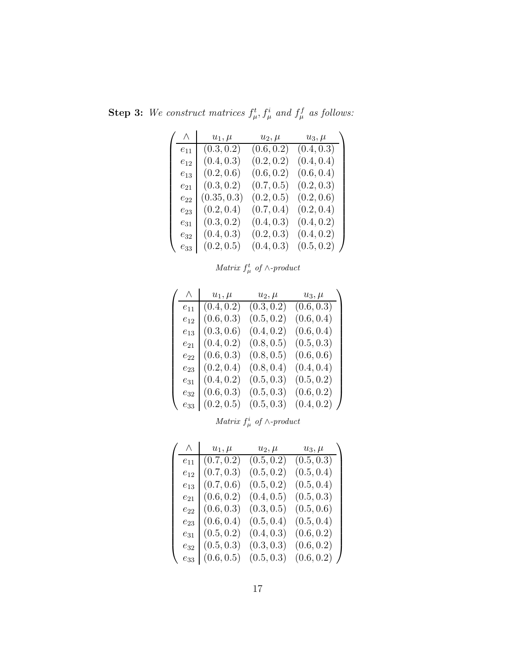**Step 3:** We construct matrices  $f^t_\mu$ ,  $f^i_\mu$  and  $f^f_\mu$  as follows:

| $\wedge$ | $u_1, \mu$  | $u_2, \mu$ | $u_3, \mu$ |
|----------|-------------|------------|------------|
| $e_{11}$ | (0.3, 0.2)  | (0.6, 0.2) | (0.4, 0.3) |
| $e_{12}$ | (0.4, 0.3)  | (0.2, 0.2) | (0.4, 0.4) |
| $e_{13}$ | (0.2, 0.6)  | (0.6, 0.2) | (0.6, 0.4) |
| $e_{21}$ | (0.3, 0.2)  | (0.7, 0.5) | (0.2, 0.3) |
| $e_{22}$ | (0.35, 0.3) | (0.2, 0.5) | (0.2, 0.6) |
| $e_{23}$ | (0.2, 0.4)  | (0.7, 0.4) | (0.2, 0.4) |
| $e_{31}$ | (0.3, 0.2)  | (0.4, 0.3) | (0.4, 0.2) |
| $e_{32}$ | (0.4, 0.3)  | (0.2, 0.3) | (0.4, 0.2) |
| $e_{33}$ | (0.2, 0.5)  | (0.4, 0.3) | (0.5, 0.2) |

|  |  |  | Matrix $f^t_\mu$ of $\wedge$ -product |
|--|--|--|---------------------------------------|
|--|--|--|---------------------------------------|

| Λ        | $u_1,\mu$  | $u_2,\mu$  | $u_3,\mu$  |
|----------|------------|------------|------------|
| $e_{11}$ | (0.4, 0.2) | (0.3, 0.2) | (0.6, 0.3) |
| $e_{12}$ | (0.6, 0.3) | (0.5, 0.2) | (0.6, 0.4) |
| $e_{13}$ | (0.3, 0.6) | (0.4, 0.2) | (0.6, 0.4) |
| $e_{21}$ | (0.4, 0.2) | (0.8, 0.5) | (0.5, 0.3) |
| $e_{22}$ | (0.6, 0.3) | (0.8, 0.5) | (0.6, 0.6) |
| $e_{23}$ | (0.2, 0.4) | (0.8, 0.4) | (0.4, 0.4) |
| $e_{31}$ | (0.4, 0.2) | (0.5, 0.3) | (0.5, 0.2) |
| $e_{32}$ | (0.6, 0.3) | (0.5, 0.3) | (0.6, 0.2) |
| $e_{33}$ | (0.2, 0.5) | (0.5, 0.3) | (0.4, 0.2) |

|  |  |  | Matrix $f^i_\mu$ of $\wedge$ -product |
|--|--|--|---------------------------------------|
|--|--|--|---------------------------------------|

| Λ        | $u_1,\mu$  | $u_2, \mu$ | $u_3, \mu$ |
|----------|------------|------------|------------|
| $e_{11}$ | (0.7, 0.2) | (0.5, 0.2) | (0.5, 0.3) |
| $e_{12}$ | (0.7, 0.3) | (0.5, 0.2) | (0.5, 0.4) |
| $e_{13}$ | (0.7, 0.6) | (0.5, 0.2) | (0.5, 0.4) |
| $e_{21}$ | (0.6, 0.2) | (0.4, 0.5) | (0.5, 0.3) |
| $e_{22}$ | (0.6, 0.3) | (0.3, 0.5) | (0.5, 0.6) |
| $e_{23}$ | (0.6, 0.4) | (0.5, 0.4) | (0.5, 0.4) |
| $e_{31}$ | (0.5, 0.2) | (0.4, 0.3) | (0.6, 0.2) |
| $e_{32}$ | (0.5, 0.3) | (0.3, 0.3) | (0.6, 0.2) |
| $e_{33}$ | (0.6, 0.5) | (0.5, 0.3) | (0.6, 0.2) |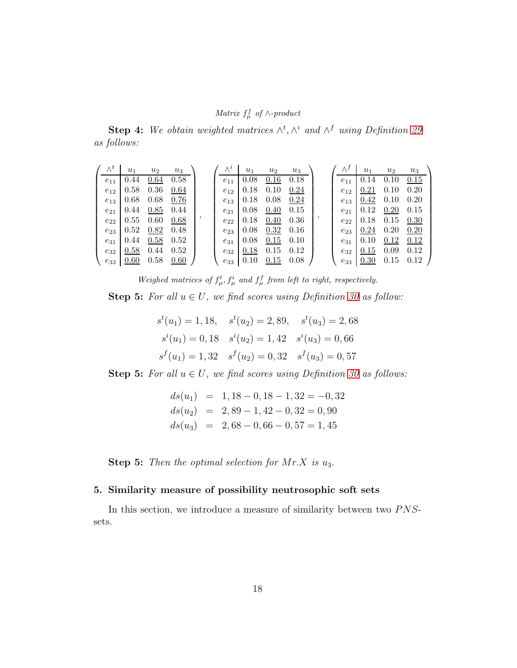## Matrix  $f^f_\mu$  of ∧-product

Step 4: We obtain weighted matrices  $\wedge^t$ ,  $\wedge^i$  and  $\wedge^f$  using Definition [29](#page-13-0) *as follows:*

|          | $u_1$ | $u_2$ | $u_3$ |          | $u_1$ | $u_2$ | $u_3$ | $\wedge^{\jmath}$ | $u_1$ | $u_2$ | $u_3$ |
|----------|-------|-------|-------|----------|-------|-------|-------|-------------------|-------|-------|-------|
| $e_{11}$ | 0.44  | 0.64  | 0.58  | $e_{11}$ | 0.08  | 0.16  | 0.18  | $e_{11}$          | 0.14  | 0.10  | 0.15  |
| $e_{12}$ | 0.58  | 0.36  | 0.64  | $e_{12}$ | 0.18  | 0.10  | 0.24  | $e_{12}$          | 0.21  | 0.10  | 0.20  |
| $e_{13}$ | 0.68  | 0.68  | 0.76  | $e_{13}$ | 0.18  | 0.08  | 0.24  | $e_{13}$          | 0.42  | 0.10  | 0.20  |
| $e_{21}$ | 0.44  | 0.85  | 0.44  | $e_{21}$ | 0.08  | 0.40  | 0.15  | $e_{21}$          | 0.12  | 0.20  | 0.15  |
| $e_{22}$ | 0.55  | 0.60  | 0.68  | $e_{22}$ | 0.18  | 0.40  | 0.36  | $e_{22}$          | 0.18  | 0.15  | 0.30  |
| $e_{23}$ | 0.52  | 0.82  | 0.48  | $e_{23}$ | 0.08  | 0.32  | 0.16  | $e_{23}$          | 0.24  | 0.20  | 0.20  |
| $e_{31}$ | 0.44  | 0.58  | 0.52  | $e_{31}$ | 0.08  | 0.15  | 0.10  | $e_{31}$          | 0.10  | 0.12  | 0.12  |
| $e_{32}$ | 0.58  | 0.44  | 0.52  | $e_{32}$ | 0.18  | 0.15  | 0.12  | $e_{32}$          | 0.15  | 0.09  | 0.12  |
| $e_{33}$ | 0.60  | 0.58  | 0.60  | $e_{33}$ | 0.10  | 0.15  | 0.08  | $e_{33}$          | 0.30  | 0.15  | 0.12  |

Weighed matrices of  $f^t_\mu$ ,  $f^i_\mu$  and  $f^f_\mu$  from left to right, respectively. **Step 5:** For all  $u \in U$ , we find scores using Definition [30](#page-13-1) as follow:

$$
st(u1) = 1, 18, \t st(u2) = 2, 89, \t st(u3) = 2, 68si(u1) = 0, 18 \t si(u2) = 1, 42 \t si(u3) = 0, 66sf(u1) = 1, 32 \t sf(u2) = 0, 32 \t sf(u3) = 0, 57
$$

**Step 5:** *For all*  $u \in U$ *, we find scores using Definition [30](#page-13-1) as follows:* 

$$
ds(u_1) = 1, 18 - 0, 18 - 1, 32 = -0, 32
$$
  
\n
$$
ds(u_2) = 2, 89 - 1, 42 - 0, 32 = 0, 90
$$
  
\n
$$
ds(u_3) = 2, 68 - 0, 66 - 0, 57 = 1, 45
$$

Step 5: *Then the optimal selection for* Mr.X *is* u3.

### 5. Similarity measure of possibility neutrosophic soft sets

In this section, we introduce a measure of similarity between two  $PNS$ sets.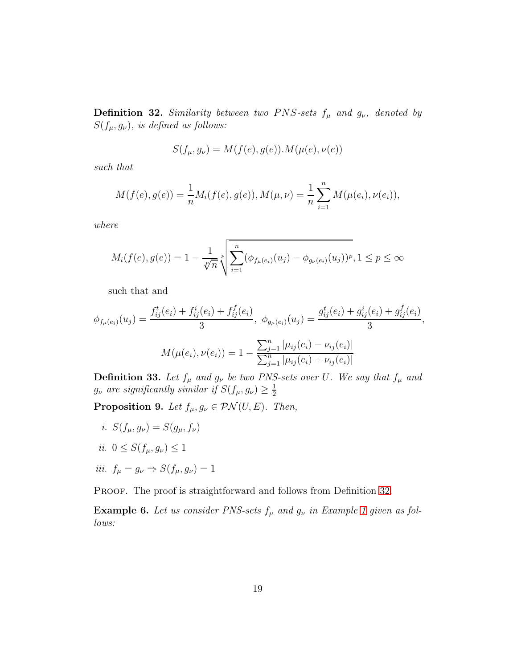<span id="page-18-0"></span>**Definition 32.** *Similarity between two PNS-sets*  $f_{\mu}$  *and*  $g_{\nu}$ *, denoted by*  $S(f_\mu, g_\nu)$ *, is defined as follows:* 

$$
S(f_{\mu}, g_{\nu}) = M(f(e), g(e)).M(\mu(e), \nu(e))
$$

*such that*

$$
M(f(e), g(e)) = \frac{1}{n} M_i(f(e), g(e)), M(\mu, \nu) = \frac{1}{n} \sum_{i=1}^n M(\mu(e_i), \nu(e_i)),
$$

*where*

$$
M_i(f(e), g(e)) = 1 - \frac{1}{\sqrt[p]{n}} \sqrt[p]{\sum_{i=1}^n (\phi_{f_\mu(e_i)}(u_j) - \phi_{g_\nu(e_i)}(u_j))^p}, 1 \le p \le \infty
$$

such that and

$$
\phi_{f_{\mu}(e_i)}(u_j) = \frac{f_{ij}^t(e_i) + f_{ij}^i(e_i) + f_{ij}^f(e_i)}{3}, \ \phi_{g_{\mu}(e_i)}(u_j) = \frac{g_{ij}^t(e_i) + g_{ij}^i(e_i) + g_{ij}^f(e_i)}{3},
$$

$$
M(\mu(e_i), \nu(e_i)) = 1 - \frac{\sum_{j=1}^n |\mu_{ij}(e_i) - \nu_{ij}(e_i)|}{\sum_{j=1}^n |\mu_{ij}(e_i) + \nu_{ij}(e_i)|}
$$

**Definition 33.** Let  $f_{\mu}$  and  $g_{\nu}$  be two PNS-sets over U. We say that  $f_{\mu}$  and  $g_{\nu}$  are significantly similar if  $S(f_{\mu}, g_{\nu}) \geq \frac{1}{2}$ 2

**Proposition 9.** *Let*  $f_{\mu}, g_{\nu} \in \mathcal{PN}(U, E)$ *. Then,* 

*i.*  $S(f_{\mu}, g_{\nu}) = S(g_{\mu}, f_{\nu})$ *ii.*  $0 \le S(f_{\mu}, g_{\nu}) \le 1$ *iii.*  $f_{\mu} = g_{\nu} \Rightarrow S(f_{\mu}, g_{\nu}) = 1$ 

PROOF. The proof is straightforward and follows from Definition [32.](#page-18-0)

Example 6. Let us consider PNS-sets  $f_{\mu}$  and  $g_{\nu}$  in Example [1](#page-6-0) given as fol*lows:*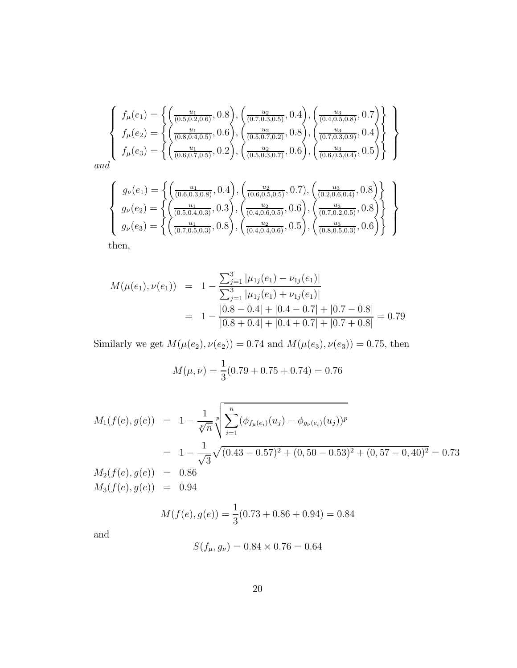$$
\begin{Bmatrix}\nf_{\mu}(e_1) = \left\{ \left( \frac{u_1}{(0.5, 0.2, 0.6)}, 0.8 \right), \left( \frac{u_2}{(0.7, 0.3, 0.5)}, 0.4 \right), \left( \frac{u_3}{(0.4, 0.5, 0.8)}, 0.7 \right) \right\} \\
f_{\mu}(e_2) = \left\{ \left( \frac{u_1}{(0.8, 0.4, 0.5)}, 0.6 \right), \left( \frac{u_2}{(0.5, 0.7, 0.2)}, 0.8 \right), \left( \frac{u_3}{(0.7, 0.3, 0.9)}, 0.4 \right) \right\} \\
f_{\mu}(e_3) = \left\{ \left( \frac{u_1}{(0.6, 0.7, 0.5)}, 0.2 \right), \left( \frac{u_2}{(0.5, 0.3, 0.7)}, 0.6 \right), \left( \frac{u_3}{(0.6, 0.5, 0.4)}, 0.5 \right) \right\}\n\end{Bmatrix}
$$

*and*

$$
\begin{Bmatrix}\ng_{\nu}(e_1) = \left\{ \left( \frac{u_1}{(0.6, 0.3, 0.8)}, 0.4 \right), \left( \frac{u_2}{(0.6, 0.5, 0.5)}, 0.7 \right), \left( \frac{u_3}{(0.2, 0.6, 0.4)}, 0.8 \right) \right\} \\
g_{\nu}(e_2) = \left\{ \left( \frac{u_1}{(0.5, 0.4, 0.3)}, 0.3 \right), \left( \frac{u_2}{(0.4, 0.6, 0.5)}, 0.6 \right), \left( \frac{u_3}{(0.7, 0.2, 0.5)}, 0.8 \right) \right\} \\
g_{\nu}(e_3) = \left\{ \left( \frac{u_1}{(0.7, 0.5, 0.3)}, 0.8 \right), \left( \frac{u_2}{(0.4, 0.4, 0.6)}, 0.5 \right), \left( \frac{u_3}{(0.8, 0.5, 0.3)}, 0.6 \right) \right\}\n\end{Bmatrix}
$$

then,

$$
M(\mu(e_1), \nu(e_1)) = 1 - \frac{\sum_{j=1}^{3} |\mu_{1j}(e_1) - \nu_{1j}(e_1)|}{\sum_{j=1}^{3} |\mu_{1j}(e_1) + \nu_{1j}(e_1)|}
$$
  
= 
$$
1 - \frac{|0.8 - 0.4| + |0.4 - 0.7| + |0.7 - 0.8|}{|0.8 + 0.4| + |0.4 + 0.7| + |0.7 + 0.8|} = 0.79
$$

Similarly we get  $M(\mu(e_2), \nu(e_2)) = 0.74$  and  $M(\mu(e_3), \nu(e_3)) = 0.75$ , then

$$
M(\mu, \nu) = \frac{1}{3}(0.79 + 0.75 + 0.74) = 0.76
$$

$$
M_1(f(e), g(e)) = 1 - \frac{1}{\sqrt[n]{n}} \sqrt[n]{\sum_{i=1}^n (\phi_{f_\mu(e_i)}(u_j) - \phi_{g_\nu(e_i)}(u_j))^p}
$$
  
=  $1 - \frac{1}{\sqrt{3}} \sqrt{(0.43 - 0.57)^2 + (0.50 - 0.53)^2 + (0.57 - 0, 40)^2} = 0.73$   

$$
M_2(f(e), g(e)) = 0.86
$$
  

$$
M_3(f(e), g(e)) = 0.94
$$

$$
M(f(e), g(e)) = \frac{1}{3}(0.73 + 0.86 + 0.94) = 0.84
$$

and

$$
S(f_{\mu}, g_{\nu}) = 0.84 \times 0.76 = 0.64
$$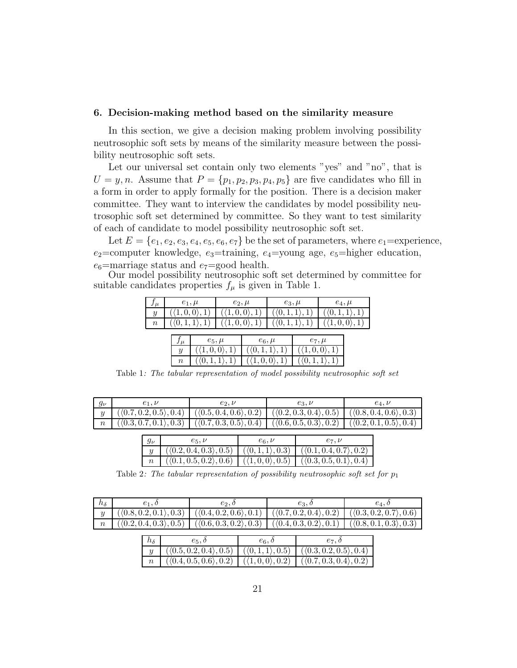#### 6. Decision-making method based on the similarity measure

In this section, we give a decision making problem involving possibility neutrosophic soft sets by means of the similarity measure between the possibility neutrosophic soft sets.

Let our universal set contain only two elements "yes" and "no", that is  $U = y, n$ . Assume that  $P = \{p_1, p_2, p_3, p_4, p_5\}$  are five candidates who fill in a form in order to apply formally for the position. There is a decision maker committee. They want to interview the candidates by model possibility neutrosophic soft set determined by committee. So they want to test similarity of each of candidate to model possibility neutrosophic soft set.

Let  $E = \{e_1, e_2, e_3, e_4, e_5, e_6, e_7\}$  be the set of parameters, where  $e_1$ =experience,  $e_2$ =computer knowledge,  $e_3$ =training,  $e_4$ =young age,  $e_5$ =higher education,  $e_6$ =marriage status and  $e_7$ =good health.

Our model possibility neutrosophic soft set determined by committee for suitable candidates properties  $f_{\mu}$  is given in Table 1.

| $\,f_\mu$        |            |  | $e_1, \mu$                          | $e_2, \mu$ |                            | $e_3, \mu$ |            | $e_4, \mu$ |                             |
|------------------|------------|--|-------------------------------------|------------|----------------------------|------------|------------|------------|-----------------------------|
| $\boldsymbol{y}$ | (1,0,0),1) |  | $\langle 1,0,0\rangle ,1\rangle$    |            | (0,1,1),1)                 |            |            | (0,1,1),1) |                             |
| $\boldsymbol{n}$ |            |  | (0,1,1),1)                          |            | $\langle 1,0,0 \rangle, 1$ |            | (0,1,1),1  |            | $\langle 1,0,0 \rangle, 1)$ |
|                  |            |  |                                     |            |                            |            |            |            |                             |
|                  | $J\mu$     |  | $e_5, \mu$                          |            | $e_6, \mu$                 |            | $e_7, \mu$ |            |                             |
|                  | Y          |  | $\langle 1,0,0\rangle\overline{,1}$ |            | $(0,1,1), \overline{1},$   |            | (1,0,0),1  |            |                             |
|                  | $\it n$    |  |                                     |            | $\langle 1,0,0 \rangle,$   |            |            |            |                             |

Table 1: The tabular representation of model possibility neutrosophic soft set

| $g_{\nu}$ | $e_1, \nu$                                                                                                                                                                  | $e_2, \nu$                                                                                                                                                  | $e_3, \nu$ | $e_4, \nu$ |
|-----------|-----------------------------------------------------------------------------------------------------------------------------------------------------------------------------|-------------------------------------------------------------------------------------------------------------------------------------------------------------|------------|------------|
|           |                                                                                                                                                                             | $(\langle 0.7, 0.2, 0.5 \rangle, 0.4)$ $(\langle 0.5, 0.4, 0.6 \rangle, 0.2)$ $(\langle 0.2, 0.3, 0.4 \rangle, 0.5)$ $(\langle 0.8, 0.4, 0.6 \rangle, 0.3)$ |            |            |
|           | $n \mid (\langle 0.3, 0.7, 0.1 \rangle, 0.3) \mid (\langle 0.7, 0.3, 0.5 \rangle, 0.4) \mid (\langle 0.6, 0.5, 0.3 \rangle, 0.2) \mid (\langle 0.2, 0.1, 0.5 \rangle, 0.4)$ |                                                                                                                                                             |            |            |

| $e_5, \nu$                                                                                                        | $e_6, \nu$ |  |
|-------------------------------------------------------------------------------------------------------------------|------------|--|
| $( \langle 0.2, 0.4, 0.3 \rangle, 0.5)$ $( \langle 0, 1, 1 \rangle, 0.3)$ $( \langle 0.1, 0.4, 0.7 \rangle, 0.2)$ |            |  |
| $( \langle 0.1, 0.5, 0.2 \rangle, 0.6)$ $( \langle 1, 0, 0 \rangle, 0.5)$ $( \langle 0.3, 0.5, 0.1 \rangle, 0.4)$ |            |  |

Table 2: The tabular representation of possibility neutrosophic soft set for  $p_1$ 

| $h_{\delta}$ |                                                                                                                                                             | e3. c |  |
|--------------|-------------------------------------------------------------------------------------------------------------------------------------------------------------|-------|--|
|              | $(\langle 0.8, 0.2, 0.1 \rangle, 0.3)$ $(\langle 0.4, 0.2, 0.6 \rangle, 0.1)$ $(\langle 0.7, 0.2, 0.4 \rangle, 0.2)$ $(\langle 0.3, 0.2, 0.7 \rangle, 0.6)$ |       |  |
|              | $(\langle 0.2, 0.4, 0.3 \rangle, 0.5)$ $(\langle 0.6, 0.3, 0.2 \rangle, 0.3)$ $(\langle 0.4, 0.3, 0.2 \rangle, 0.1)$ $(\langle 0.8, 0.1, 0.3 \rangle, 0.3)$ |       |  |

| $h_{\delta}$ | $e_5, o$ | $e_6, o$ |                                                                                                                                  |
|--------------|----------|----------|----------------------------------------------------------------------------------------------------------------------------------|
|              |          |          | $(\langle 0.5, 0.2, 0.4 \rangle, 0.5)$ $(\langle 0, 1, 1 \rangle, 0.5)$ $(\langle 0.3, 0.2, 0.5 \rangle, 0.4)$                   |
|              |          |          | $n \mid (\langle 0.4, 0.5, 0.6 \rangle, 0.2) \mid (\langle 1, 0, 0 \rangle, 0.2) \mid (\langle 0.7, 0.3, 0.4 \rangle, 0.2) \mid$ |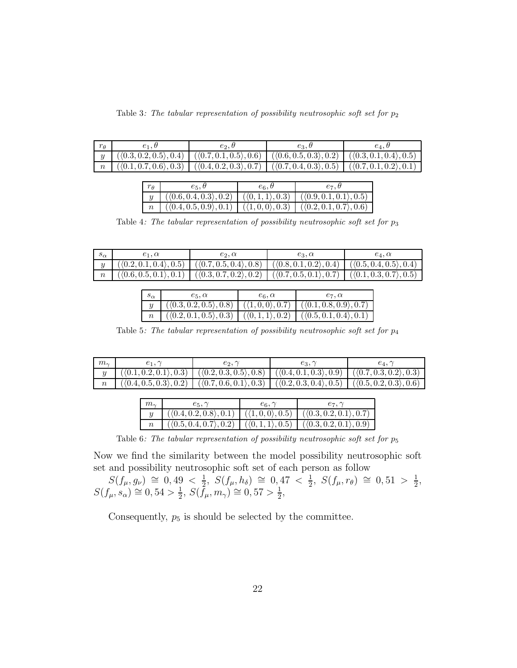| $r_{\theta}$     | e1.0                                   | $e_2$ , $\sigma$                                                                                                                                            | $e_3$ , $b$                                                                                                          | $e_4$ , t |
|------------------|----------------------------------------|-------------------------------------------------------------------------------------------------------------------------------------------------------------|----------------------------------------------------------------------------------------------------------------------|-----------|
|                  | $(\langle 0.3, 0.2, 0.5 \rangle, 0.4)$ |                                                                                                                                                             | $(\langle 0.7, 0.1, 0.5 \rangle, 0.6)$ $(\langle 0.6, 0.5, 0.3 \rangle, 0.2)$ $(\langle 0.3, 0.1, 0.4 \rangle, 0.5)$ |           |
| $\boldsymbol{n}$ |                                        | $(\langle 0.1, 0.7, 0.6 \rangle, 0.3)$ $(\langle 0.4, 0.2, 0.3 \rangle, 0.7)$ $(\langle 0.7, 0.4, 0.3 \rangle, 0.5)$ $(\langle 0.7, 0.1, 0.2 \rangle, 0.1)$ |                                                                                                                      |           |

| Table 3: The tabular representation of possibility neutrosophic soft set for $p_2$ |  |  |  |  |  |  |
|------------------------------------------------------------------------------------|--|--|--|--|--|--|
|------------------------------------------------------------------------------------|--|--|--|--|--|--|

|  | $e_5, \theta$                                                                                                               | $e_6$ , b |  |
|--|-----------------------------------------------------------------------------------------------------------------------------|-----------|--|
|  | $(\langle 0.6, 0.4, 0.3 \rangle, 0.2)$ $(\langle 0, 1, 1 \rangle, 0.3)$ $(\langle 0.9, 0.1, 0.1 \rangle, 0.5)$              |           |  |
|  | $n \mid (\langle 0.4, 0.5, 0.9 \rangle, 0.1) \mid (\langle 1, 0, 0 \rangle, 0.3) \mid (\langle 0.2, 0.1, 0.7 \rangle, 0.6)$ |           |  |

Table 4: The tabular representation of possibility neutrosophic soft set for  $p_3$ 

| $\sigma_{\alpha}$ | $e_1$ , $\alpha$                       | $e_2$ , $\alpha$                                                              | $e_3, \alpha$                                                                   | $e_4$ , $\alpha$ |
|-------------------|----------------------------------------|-------------------------------------------------------------------------------|---------------------------------------------------------------------------------|------------------|
|                   | $(\langle 0.2, 0.1, 0.4 \rangle, 0.5)$ | $(\langle 0.7, 0.5, 0.4 \rangle, 0.8)$                                        | $( \langle 0.8, 0.1, 0.2 \rangle, 0.4)$ $( \langle 0.5, 0.4, 0.5 \rangle, 0.4)$ |                  |
|                   |                                        | $(\langle 0.6, 0.5, 0.1 \rangle, 0.1)$ $(\langle 0.3, 0.7, 0.2 \rangle, 0.2)$ | $( \langle 0.7, 0.5, 0.1 \rangle, 0.7)$ $( \langle 0.1, 0.3, 0.7 \rangle, 0.5)$ |                  |

| $e_5, \alpha$                                                                                                  | $e_6, \alpha$ | $e_7$ , $\alpha$ |
|----------------------------------------------------------------------------------------------------------------|---------------|------------------|
| $(\langle 0.3, 0.2, 0.5 \rangle, 0.8)$ $(\langle 1, 0, 0 \rangle, 0.7)$ $(\langle 0.1, 0.8, 0.9 \rangle, 0.7)$ |               |                  |
| $(\langle 0.2, 0.1, 0.5 \rangle, 0.3)$ $(\langle 0, 1, 1 \rangle, 0.2)$ $(\langle 0.5, 0.1, 0.4 \rangle, 0.1)$ |               |                  |

Table 5: The tabular representation of possibility neutrosophic soft set for  $p_4$ 

| $m_{\sim}$ |                                                                                                                                                             |                                                                                                                                                             | $\mathfrak{c}_3,$ | $\epsilon_4$ . |
|------------|-------------------------------------------------------------------------------------------------------------------------------------------------------------|-------------------------------------------------------------------------------------------------------------------------------------------------------------|-------------------|----------------|
|            |                                                                                                                                                             | $(\langle 0.1, 0.2, 0.1 \rangle, 0.3)$ $(\langle 0.2, 0.3, 0.5 \rangle, 0.8)$ $(\langle 0.4, 0.1, 0.3 \rangle, 0.9)$ $(\langle 0.7, 0.3, 0.2 \rangle, 0.3)$ |                   |                |
|            | $(\langle 0.4, 0.5, 0.3 \rangle, 0.2)$ $(\langle 0.7, 0.6, 0.1 \rangle, 0.3)$ $(\langle 0.2, 0.3, 0.4 \rangle, 0.5)$ $(\langle 0.5, 0.2, 0.3 \rangle, 0.6)$ |                                                                                                                                                             |                   |                |

| $m_{\gamma}$ | U5, 1                                                                                                          | $\epsilon_6$ , $\epsilon$ |  |
|--------------|----------------------------------------------------------------------------------------------------------------|---------------------------|--|
|              | $(\langle 0.4, 0.2, 0.8 \rangle, 0.1)$ $(\langle 1, 0, 0 \rangle, 0.5)$ $(\langle 0.3, 0.2, 0.1 \rangle, 0.7)$ |                           |  |
|              | $(\langle 0.5, 0.4, 0.7 \rangle, 0.2)$ $(\langle 0, 1, 1 \rangle, 0.5)$ $(\langle 0.3, 0.2, 0.1 \rangle, 0.9)$ |                           |  |

Table 6: The tabular representation of possibility neutrosophic soft set for  $p_5$ 

Now we find the similarity between the model possibility neutrosophic soft set and possibility neutrosophic soft set of each person as follow

 $S(f_{\mu}, g_{\nu}) \cong 0, 49 < \frac{1}{2}$  $\frac{1}{2}$ ,  $S(f_{\mu}, h_{\delta}) \cong 0,47 < \frac{1}{2}$  $\frac{1}{2}$ ,  $S(f_{\mu}, r_{\theta}) \cong 0, 51 > \frac{1}{2}$  $\frac{1}{2}$ ,  $S(f_\mu, s_\alpha) \cong 0, 54 > \frac{1}{2}$  $\frac{1}{2}$ ,  $S(\bar{f}_{\mu}, m_{\gamma}) \cong 0, 57 > \frac{1}{2}$  $\frac{1}{2}$ ,

Consequently,  $p_5$  is should be selected by the committee.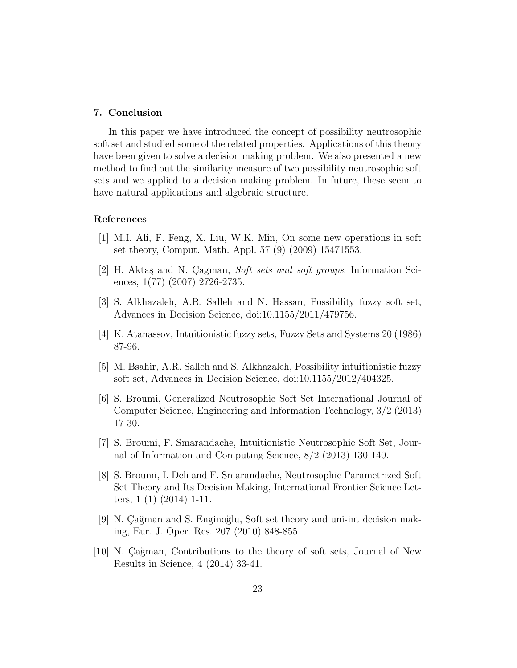#### 7. Conclusion

In this paper we have introduced the concept of possibility neutrosophic soft set and studied some of the related properties. Applications of this theory have been given to solve a decision making problem. We also presented a new method to find out the similarity measure of two possibility neutrosophic soft sets and we applied to a decision making problem. In future, these seem to have natural applications and algebraic structure.

#### References

- <span id="page-22-1"></span>[1] M.I. Ali, F. Feng, X. Liu, W.K. Min, On some new operations in soft set theory, Comput. Math. Appl. 57 (9) (2009) 15471553.
- <span id="page-22-2"></span>[2] H. Aktaş and N. Çagman, *Soft sets and soft groups*. Information Sciences, 1(77) (2007) 2726-2735.
- <span id="page-22-8"></span>[3] S. Alkhazaleh, A.R. Salleh and N. Hassan, Possibility fuzzy soft set, Advances in Decision Science, doi:10.1155/2011/479756.
- <span id="page-22-0"></span>[4] K. Atanassov, Intuitionistic fuzzy sets, Fuzzy Sets and Systems 20 (1986) 87-96.
- <span id="page-22-9"></span>[5] M. Bsahir, A.R. Salleh and S. Alkhazaleh, Possibility intuitionistic fuzzy soft set, Advances in Decision Science, doi:10.1155/2012/404325.
- <span id="page-22-5"></span>[6] S. Broumi, Generalized Neutrosophic Soft Set International Journal of Computer Science, Engineering and Information Technology, 3/2 (2013) 17-30.
- <span id="page-22-6"></span>[7] S. Broumi, F. Smarandache, Intuitionistic Neutrosophic Soft Set, Journal of Information and Computing Science, 8/2 (2013) 130-140.
- <span id="page-22-7"></span>[8] S. Broumi, I. Deli and F. Smarandache, Neutrosophic Parametrized Soft Set Theory and Its Decision Making, International Frontier Science Letters, 1 (1) (2014) 1-11.
- <span id="page-22-3"></span>[9] N. Çağman and S. Enginoğlu, Soft set theory and uni-int decision making, Eur. J. Oper. Res. 207 (2010) 848-855.
- <span id="page-22-4"></span>[10] N. Cağman, Contributions to the theory of soft sets, Journal of New Results in Science, 4 (2014) 33-41.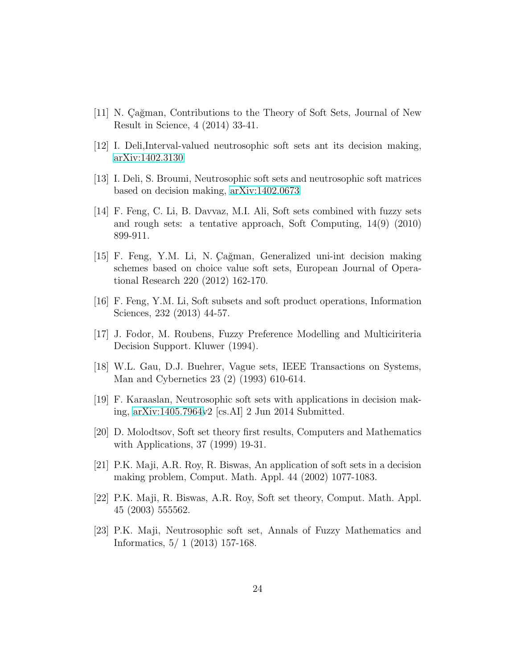- [11] N. Cağman, Contributions to the Theory of Soft Sets, Journal of New Result in Science, 4 (2014) 33-41.
- <span id="page-23-9"></span>[12] I. Deli,Interval-valued neutrosophic soft sets ant its decision making, [arXiv:1402.3130](http://arxiv.org/abs/1402.3130)
- <span id="page-23-10"></span>[13] I. Deli, S. Broumi, Neutrosophic soft sets and neutrosophic soft matrices based on decision making, [arXiv:1402.0673](http://arxiv.org/abs/1402.0673)
- <span id="page-23-4"></span>[14] F. Feng, C. Li, B. Davvaz, M.I. Ali, Soft sets combined with fuzzy sets and rough sets: a tentative approach, Soft Computing, 14(9) (2010) 899-911.
- <span id="page-23-5"></span>[15] F. Feng, Y.M. Li, N. Cağman, Generalized uni-int decision making schemes based on choice value soft sets, European Journal of Operational Research 220 (2012) 162-170.
- <span id="page-23-6"></span>[16] F. Feng, Y.M. Li, Soft subsets and soft product operations, Information Sciences, 232 (2013) 44-57.
- <span id="page-23-11"></span>[17] J. Fodor, M. Roubens, Fuzzy Preference Modelling and Multiciriteria Decision Support. Kluwer (1994).
- <span id="page-23-0"></span>[18] W.L. Gau, D.J. Buehrer, Vague sets, IEEE Transactions on Systems, Man and Cybernetics 23 (2) (1993) 610-614.
- <span id="page-23-8"></span>[19] F. Karaaslan, Neutrosophic soft sets with applications in decision making, [arXiv:1405.7964v](http://arxiv.org/abs/1405.7964)2 [cs.AI] 2 Jun 2014 Submitted.
- <span id="page-23-1"></span>[20] D. Molodtsov, Soft set theory first results, Computers and Mathematics with Applications, 37 (1999) 19-31.
- <span id="page-23-2"></span>[21] P.K. Maji, A.R. Roy, R. Biswas, An application of soft sets in a decision making problem, Comput. Math. Appl. 44 (2002) 1077-1083.
- <span id="page-23-3"></span>[22] P.K. Maji, R. Biswas, A.R. Roy, Soft set theory, Comput. Math. Appl. 45 (2003) 555562.
- <span id="page-23-7"></span>[23] P.K. Maji, Neutrosophic soft set, Annals of Fuzzy Mathematics and Informatics, 5/ 1 (2013) 157-168.